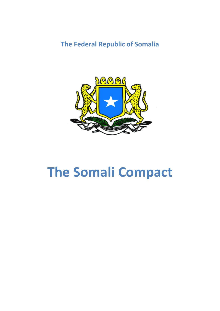**The Federal Republic of Somalia** 



# **The Somali Compact**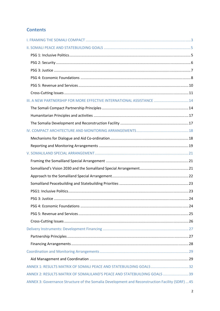# **Contents**

| III. A NEW PARTNERSHIP FOR MORE EFFECTIVE INTERNATIONAL ASSISTANCE  14                          |  |
|-------------------------------------------------------------------------------------------------|--|
|                                                                                                 |  |
|                                                                                                 |  |
|                                                                                                 |  |
|                                                                                                 |  |
|                                                                                                 |  |
|                                                                                                 |  |
|                                                                                                 |  |
|                                                                                                 |  |
|                                                                                                 |  |
|                                                                                                 |  |
|                                                                                                 |  |
|                                                                                                 |  |
|                                                                                                 |  |
|                                                                                                 |  |
|                                                                                                 |  |
|                                                                                                 |  |
|                                                                                                 |  |
|                                                                                                 |  |
|                                                                                                 |  |
|                                                                                                 |  |
|                                                                                                 |  |
|                                                                                                 |  |
| ANNEX 2: RESULTS MATRIX OF SOMALILAND'S PEACE AND STATEBUILDING GOALS  39                       |  |
| ANNEX 3: Governance Structure of the Somalia Development and Reconstruction Facility (SDRF)  45 |  |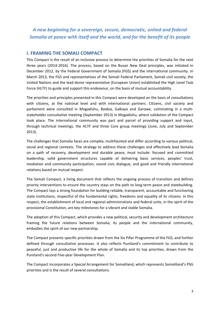*A new beginning for a sovereign, secure, democratic, united and federal Somalia at peace with itself and the world, and for the benefit of its people* 

# **I. FRAMING THE SOMALI COMPACT**

This Compact is the result of an inclusive process to determine the priorities of Somalia for the next three years (2014-2016). The process, based on the Busan New Deal principles, was initiated in December 2012, by the Federal Government of Somalia (FGS) and the international community. In March 2013, the FGS and representatives of the Somali Federal Parliament, Somali civil society, the United Nations and the lead donor representative (European Union) established the High Level Task Force (HLTF) to guide and support this endeavour, on the basis of mutual accountability.

The priorities and principles presented in this Compact were developed on the basis of consultations with citizens, at the national level and with international partners. Citizens, civil society and parliament were consulted in Mogadishu, Baidoa, Galkayo and Garowe, culminating in a multistakeholder consultative meeting (September 2013) in Mogadishu, where validation of the Compact took place. The international community was part and parcel of providing support and input, through technical meetings, the HLTF and three Core group meetings (June, July and September 2013).

The challenges that Somalia faces are complex, multifaceted and differ according to various political, social and regional contexts. The strategy to address these challenges and effectively lead Somalia on a path of recovery, development and durable peace, must include: focused and committed leadership, solid government structures capable of delivering basic services, peoples' trust, mediation and community participation, sound civic dialogue, and good and friendly international relations based on mutual respect.

The Somali Compact, a living document that reflects the ongoing process of transition and defines priority interventions to ensure the country stays on the path to long-term peace and statebuilding. The Compact lays a strong foundation for building reliable, transparent, accountable and functioning state institutions, respectful of the fundamental rights, freedoms and equality of its citizens. In this respect, the establishment of local and regional administrations and federal units, in the spirit of the provisional Constitution, are key milestones for a vibrant and stable Somalia.

The adoption of this Compact, which provides a new political, security and development architecture framing the future relations between Somalia, its people and the international community, embodies the spirit of our new partnership.

The Compact presents specific priorities drawn from the Six Pillar Programme of the FGS, and further defined through consultative processes. It also reflects Puntland's commitment to contribute to peaceful, just and productive life for the whole of Somalia and its top priorities, drawn from the Puntland's second Five-year Development Plan.

The Compact incorporates a Special Arrangement for Somaliland, which represents Somaliland's PSG priorities and is the result of several consultations.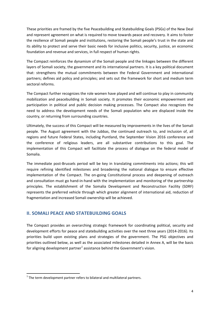These priorities are framed by the five Peacebuilding and Statebuilding Goals (PSGs) of the New Deal and represent agreement on what is required to move towards peace and recovery. It aims to foster the resilience of Somali people and institutions, restoring the Somali people's trust in the state and its ability to protect and serve their basic needs for inclusive politics, security, justice, an economic foundation and revenue and services, in full respect of human rights.

The Compact reinforces the dynamism of the Somali people and the linkages between the different layers of Somali society, the government and its international partners. It is a key political document that: strengthens the mutual commitments between the Federal Government and international partners; defines aid policy and principles; and sets out the framework for short and medium term sectoral reforms.

The Compact further recognizes the role women have played and will continue to play in community mobilization and peacebuilding in Somali society. It promotes their economic empowerment and participation in political and public decision making processes. The Compact also recognizes the need to address the development needs of the Somali population who are displaced inside the country, or returning from surrounding countries.

Ultimately, the success of this Compact will be measured by improvements in the lives of the Somali people. The August agreement with the Jubbas, the continued outreach to, and inclusion of, all regions and future Federal States, including Puntland, the September Vision 2016 conference and the conference of religious leaders, are all substantive contributions to this goal. The implementation of this Compact will facilitate the process of dialogue on the federal model of Somalia.

The immediate post-Brussels period will be key in translating commitments into actions; this will require refining identified milestones and broadening the national dialogue to ensure effective implementation of the Compact. The on-going Constitutional process and deepening of outreach and consultation must go hand-in-hand with the implementation and monitoring of the partnership principles. The establishment of the Somalia Development and Reconstruction Facility (SDRF) represents the preferred vehicle through which greater alignment of international aid, reduction of fragmentation and increased Somali ownership will be achieved.

# **II. SOMALI PEACE AND STATEBUILDING GOALS**

The Compact provides an overarching strategic framework for coordinating political, security and development efforts for peace and statebuilding activities over the next three years (2014-2016). Its priorities build upon existing plans and strategies of the government. The PSG objectives and priorities outlined below, as well as the associated milestones detailed in Annex A, will be the basis for aligning development partner<sup>1</sup> assistance behind the Government's vision.

**.** 

 $1$  The term development partner refers to bilateral and multilateral partners.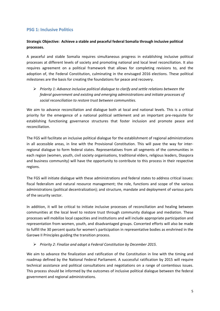# **PSG 1: Inclusive Politics**

#### **Strategic Objective: Achieve a stable and peaceful federal Somalia through inclusive political processes.**

A peaceful and stable Somalia requires simultaneous progress in establishing inclusive political processes at different levels of society and promoting national and local level reconciliation. It also requires agreement on a political framework that allows for completing revisions to, and the adoption of, the Federal Constitution, culminating in the envisaged 2016 elections. These political milestones are the basis for creating the foundations for peace and recovery.

¾ *Priority 1: Advance inclusive political dialogue to clarify and settle relations between the federal government and existing and emerging administrations and initiate processes of social reconciliation to restore trust between communities.* 

We aim to advance reconciliation and dialogue both at local and national levels. This is a critical priority for the emergence of a national political settlement and an important pre-requisite for establishing functioning governance structures that foster inclusion and promote peace and reconciliation.

The FGS will facilitate an inclusive political dialogue for the establishment of regional administrations in all accessible areas, in line with the Provisional Constitution. This will pave the way for interregional dialogue to form federal states. Representatives from all segments of the communities in each region (women, youth, civil society organisations, traditional elders, religious leaders, Diaspora and business community) will have the opportunity to contribute to this process in their respective regions.

The FGS will initiate dialogue with these administrations and federal states to address critical issues: fiscal federalism and natural resource management; the role, functions and scope of the various administrations (political decentralization); and structure, mandate and deployment of various parts of the security sector.

In addition, it will be critical to initiate inclusive processes of reconciliation and healing between communities at the local level to restore trust through community dialogue and mediation. These processes will mobilize local capacities and institutions and will include appropriate participation and representation from women, youth, and disadvantaged groups. Concerted efforts will also be made to fulfill the 30 percent quota for women's participation in representative bodies as enshrined in the Garowe II Principles guiding the transition process.

#### ¾ *Priority 2: Finalize and adopt a Federal Constitution by December 2015.*

We aim to advance the finalization and ratification of the Constitution in line with the timing and roadmap defined by the National Federal Parliament. A successful ratification by 2015 will require technical assistance and political consultations and negotiations on a range of contentious issues. This process should be informed by the outcomes of inclusive political dialogue between the federal government and regional administrations.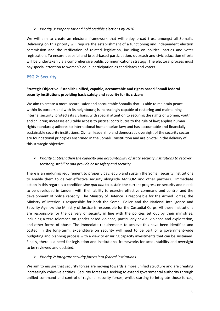#### ¾ *Priority 3: Prepare for and hold credible elections by 2016*

We will aim to create an electoral framework that will enjoy broad trust amongst all Somalis. Delivering on this priority will require the establishment of a functioning and independent election commission and the ratification of related legislation, including on political parties and voter registration. To ensure peaceful and broad-based participation, outreach and civic education efforts will be undertaken via a comprehensive public communications strategy. The electoral process must pay special attention to women's equal participation as candidates and voters.

# **PSG 2: Security**

#### **Strategic Objective: Establish unified, capable, accountable and rights based Somali federal security institutions providing basic safety and security for its citizens**

We aim to create a more secure, safer and accountable Somalia that: is able to maintain peace within its borders and with its neighbours; is increasingly capable of restoring and maintaining internal security; protects its civilians, with special attention to securing the rights of women, youth and children; increases equitable access to justice; contributes to the rule of law; applies human rights standards; adheres to international humanitarian law; and has accountable and financially sustainable security institutions. Civilian leadership and democratic oversight of the security sector are foundational principles enshrined in the Somali Constitution and are pivotal in the delivery of this strategic objective.

# ¾ *Priority 1: Strengthen the capacity and accountability of state security institutions to recover territory, stabilize and provide basic safety and security.*

There is an enduring requirement to properly pay, equip and sustain the Somali security institutions to enable them to deliver effective security alongside AMISOM and other partners. Immediate action in this regard is a condition *sine qua non* to sustain the current progress on security and needs to be developed in tandem with their ability to exercise effective command and control and the development of police capacity. The Ministry of Defence is responsible for the Armed Forces; the Ministry of Interior is responsible for both the Somali Police and the National Intelligence and Security Agency; the Ministry of Justice is responsible for the Custodial Corps. All these institutions are responsible for the delivery of security in line with the policies set out by their ministries, including a zero tolerance on gender-based violence, particularly sexual violence and exploitation, and other forms of abuse. The immediate requirements to achieve this have been identified and costed. In the long-term, expenditure on security will need to be part of a government-wide budgeting and planning process with a view to ensuring capacity investments that can be sustained. Finally, there is a need for legislation and institutional frameworks for accountability and oversight to be reviewed and updated.

#### ¾ *Priority 2: Integrate security forces into federal institutions*

We aim to ensure that security forces are moving towards a more unified structure and are creating increasingly cohesive entities. Security forces are seeking to extend governmental authority through unified command and control of regional security forces, whilst starting to integrate those forces,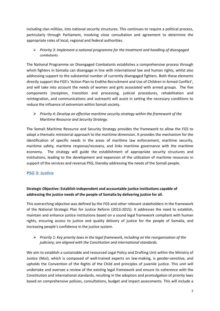including clan militias, into national security structures. This continues to require a political process, particularly through Parliament, involving close consultation and agreement to determine the appropriate roles of local, regional and federal authorities.

¾ *Priority 3: Implement a national programme for the treatment and handling of disengaged combatants.* 

The National Programme on Disengaged Combatants establishes a comprehensive process through which fighters in Somalia can disengage in line with international law and human rights, whilst also addressing support to the substantial number of currently disengaged fighters. Both these elements directly support the FGS's 'Action Plan to Endthe Recruitment and Use of Children in Armed Conflict', and will take into account the needs of women and girls associated with armed groups. The five components (reception, transition and processing, judicial procedures, rehabilitation and reintegration, and communications and outreach) will assist in setting the necessary conditions to reduce the influence of extremism within Somali society.

¾ *Priority 4: Develop an effective maritime security strategy within the framework of the Maritime Resource and Security Strategy.* 

The Somali Maritime Resource and Security Strategy provides the framework to allow the FGS to adopt a thematic ministerial approach to the maritime dimension. It provides the mechanism for the identification of specific needs in the areas of maritime law enforcement, maritime security, maritime safety, maritime response/recovery, and links maritime governance with the maritime economy. The strategy will guide the establishment of appropriate security structures and institutions, leading to the development and expansion of the utilization of maritime resources in support of the services and revenue PSG, thereby addressing the needs of the Somali people.

# **PSG 3: Justice**

# **Strategic Objective: Establish independent and accountable justice institutions capable of addressing the justice needs of the people of Somalia by delivering justice for all.**

This overarching objective was defined by the FGS and other relevant stakeholders in the framework of the National Strategic Plan for Justice Reform (2013-2015). It addresses the need to establish, maintain and enhance justice institutions based on a sound legal framework compliant with human rights, ensuring access to justice and quality delivery of justice for the people of Somalia, and increasing people's confidence in the justice system.

¾ *Priority 1: Key priority laws in the legal framework, including on the reorganisation of the judiciary, are aligned with the Constitution and international standards.*

We aim to establish a sustainable and resourced Legal Policy and Drafting Unit within the Ministry of Justice (MoJ), which is composed of well-trained experts on law-making, is gender-sensitive, and upholds the Convention of the Rights of the Child and principles of juvenile justice. This unit will undertake and oversee a review of the existing legal framework and ensure its coherence with the Constitution and international standards, resulting in the adoption and promulgation of priority laws based on comprehensive policies, consultations, budget and impact assessments. This will include a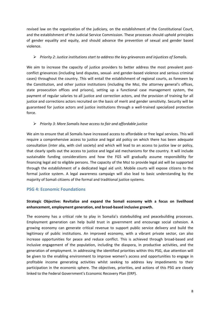revised law on the organization of the judiciary, on the establishment of the Constitutional Court, and the establishment of the Judicial Service Commission. These processes should uphold principles of gender equality and equity, and should advance the prevention of sexual and gender based violence.

#### ¾ *Priority 2: Justice institutions start to address the key grievances and injustices of Somalis.*

We aim to increase the capacity of justice providers to better address the most prevalent postconflict grievances (including land disputes, sexual- and gender-based violence and serious criminal cases) throughout the country. This will entail the establishment of regional courts, as foreseen by the Constitution, and other justice institutions (including the MoJ, the attorney general's offices, state prosecution offices and prisons), setting up a functional case management system, the payment of regular salaries to all justice and correction actors, and the provision of training for all justice and corrections actors recruited on the basis of merit and gender sensitivity. Security will be guaranteed for justice actors and justice institutions through a well-trained specialized protection force.

#### ¾ *Priority 3: More Somalis have access to fair and affordable justice*

We aim to ensure that all Somalis have increased access to affordable or free legal services. This will require a comprehensive access to justice and legal aid policy on which there has been adequate consultation (inter alia, with civil society) and which will lead to an access to justice law or policy, that clearly spells out the access to justice and legal aid mechanisms for the country. It will include sustainable funding considerations and how the FGS will gradually assume responsibility for financing legal aid to eligible persons. The capacity of the MoJ to provide legal aid will be supported through the establishment of a dedicated legal aid unit. Mobile courts will expose citizens to the formal justice system. A legal awareness campaign will also lead to basic understanding by the majority of Somali citizens of the formal and traditional justice systems.

# **PSG 4: Economic Foundations**

# **Strategic Objective: Revitalize and expand the Somali economy with a focus on livelihood enhancement, employment generation, and broad-based inclusive growth.**

The economy has a critical role to play in Somalia's statebuilding and peacebuilding processes. Employment generation can help build trust in government and encourage social cohesion. A growing economy can generate critical revenue to support public service delivery and build the legitimacy of public institutions. An improved economy, with a vibrant private sector, can also increase opportunities for peace and reduce conflict. This is achieved through broad-based and inclusive engagement of the population, including the diaspora, in productive activities, and the generation of employment. In addressing the identified priorities within this PSG, due attention will be given to the enabling environment to improve women's access and opportunities to engage in profitable income generating activities whilst seeking to address key impediments to their participation in the economic sphere. The objectives, priorities, and actions of this PSG are closely linked to the Federal Government's Economic Recovery Plan (ERP).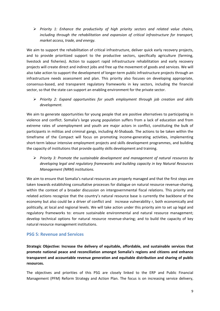¾ *Priority 1: Enhance the productivity of high priority sectors and related value chains, including through the rehabilitation and expansion of critical infrastructure for transport, market access, trade, and energy.* 

We aim to support the rehabilitation of critical infrastructure, deliver quick early recovery projects, and to provide prioritized support to the productive sectors, specifically agriculture (farming, livestock and fisheries). Action to support rapid infrastructure rehabilitation and early recovery projects will create direct and indirect jobs and free up the movement of goods and services. We will also take action to support the development of longer-term public infrastructure projects through an infrastructure needs assessment and plan. This priority also focuses on developing appropriate, consensus-based, and transparent regulatory frameworks in key sectors, including the financial sector, so that the state can support an enabling environment for the private sector.

¾ *Priority 2: Expand opportunities for youth employment through job creation and skills development.* 

We aim to generate opportunities for young people that are positive alternatives to participating in violence and conflict. Somalia's large young population suffers from a lack of education and from extreme rates of unemployment and youth are major actors in conflict, constituting the bulk of participants in militias and criminal gangs, including Al-Shabaab. The actions to be taken within the timeframe of the Compact will focus on promoting income-generating activities, implementing short-term labour intensive employment projects and skills development programmes, and building the capacity of institutions that provide quality skills development and training.

¾ *Priority 3: Promote the sustainable development and management of natural resources by developing legal and regulatory frameworks and building capacity in key Natural Resources Management (NRM) institutions.* 

We aim to ensure that Somalia's natural resources are properly managed and that the first steps are taken towards establishing consultative processes for dialogue on natural resource revenue-sharing, within the context of a broader discussion on intergovernmental fiscal relations. This priority and related actions recognize that the country's natural resource base is currently the backbone of the economy but also could be a driver of conflict and increase vulnerability r, both economically and politically, at local and regional levels. We will take action under this priority aim to set up legal and regulatory frameworks to: ensure sustainable environmental and natural resource management; develop technical options for natural resource revenue-sharing; and to build the capacity of key natural resource management institutions.

# **PSG 5: Revenue and Services**

**Strategic Objective: Increase the delivery of equitable, affordable, and sustainable services that promote national peace and reconciliation amongst Somalia's regions and citizens and enhance transparent and accountable revenue generation and equitable distribution and sharing of public resources.** 

The objectives and priorities of this PSG are closely linked to the ERP and Public Financial Management (PFM) Reform Strategy and Action Plan. The focus is on increasing service delivery,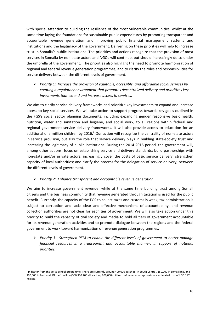with special attention to building the resilience of the most vulnerable communities, whilst at the same time laying the foundations for sustainable public expenditures by promoting transparent and accountable revenue generation and improving public financial management systems and institutions and the legitimacy of the government. Delivering on these priorities will help to increase trust in Somalia's public institutions. The priorities and actions recognize that the provision of most services in Somalia by non-state actors and NGOs will continue, but should increasingly do so under the umbrella of the government. The priorities also highlight the need to promote harmonization of regional and federal revenue generation programmes, and to clarify the roles and responsibilities for service delivery between the different levels of government.

¾ *Priority 1: Increase the provision of equitable, accessible, and affordable social services by creating a regulatory environment that promotes decentralized delivery and prioritizes key investments that extend and increase access to services.* 

We aim to clarify service delivery frameworks and prioritize key investments to expand and increase access to key social services. We will take action to support progress towards key goals outlined in the FGS's social sector planning documents, including expanding gender responsive basic health, nutrition, water and sanitation and hygiene, and social work, to all regions within federal and regional government service delivery frameworks. It will also provide access to education for an additional one million children by 2016. $^2$  Our action will recognize the centrality of non-state actors in service provision, but also the role that service delivery plays in building state-society trust and increasing the legitimacy of public institutions. During the 2014-2016 period, the government will, among other actions: focus on establishing service and delivery standards; build partnerships with non-state and/or private actors; increasingly cover the costs of basic service delivery; strengthen capacity of local authorities; and clarify the process for the delegation of service delivery, between the different levels of government.

#### ¾ *Priority 2: Enhance transparent and accountable revenue generation*

We aim to increase government revenue, while at the same time building trust among Somali citizens and the business community that revenue generated through taxation is used for the public benefit. Currently, the capacity of the FGS to collect taxes and customs is weak, tax administration is subject to corruption and lacks clear and effective mechanisms of accountability, and revenue collection authorities are not clear for each tier of government. We will also take action under this priority to build the capacity of civil society and media to hold all tiers of government accountable for its revenue generation activities and to promote dialogue between the regions and the federal government to work toward harmonization of revenue generation programmes.

¾ *Priority 3: Strengthen PFM to enable the different levels of government to better manage financial resources in a transparent and accountable manner, in support of national priorities.* 

1

<sup>&</sup>lt;sup>2</sup> Indicator from the go-to-school programme. There are currently around 400,000 in school in South Central, 150,000 in Somaliland, and 100,000 in Puntland. Of the 1 million (500:300:200 allocation), 900,000 children unfunded at an approximate estimated cost of USD 117 million.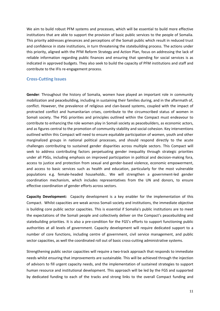We aim to build robust PFM systems and processes, which will be essential to build more effective institutions that are able to support the provision of basic public services to the people of Somalia. This priority addresses grievances and perceptions of the Somali public which result in reduced trust and confidence in state institutions, in turn threatening the statebuilding process. The actions under this priority, aligned with the PFM Reform Strategy and Action Plan, focus on addressing the lack of reliable information regarding public finances and ensuring that spending for social services is as indicated in approved budgets. They also seek to build the capacity of PFM institutions and staff and contribute to the IFIs re-engagement process.

#### **Cross-Cutting Issues**

**Gender**: Throughout the history of Somalia, women have played an important role in community mobilization and peacebuilding, including in sustaining their families during, and in the aftermath of, conflict. However, the prevalence of religious and clan-based systems, coupled with the impact of protracted conflict and humanitarian crises, contribute to the circumscribed status of women in Somali society. The PSG priorities and principles outlined within the Compact must endeavour to contribute to enhancing the role women play in Somali society as peacebuilders, as economic actors, and as figures central to the promotion of community stability and social cohesion. Key interventions outlined within this Compact will need to ensure equitable participation of women, youth and other marginalized groups in national political processes, and should respond directly to the acute challenges contributing to sustained gender disparities across multiple sectors. This Compact will seek to address contributing factors perpetuating gender inequality through strategic priorities under all PSGs, including emphasis on improved participation in political and decision-making fora, access to justice and protection from sexual and gender-based violence, economic empowerment, and access to basic services such as health and education, particularly for the most vulnerable populations e.g. female-headed households.. We will strengthen a government-led gender coordination mechanism, which includes representatives from the UN and donors, to ensure effective coordination of gender efforts across sectors.

**Capacity Development:** Capacity development is a key enabler for the implementation of this Compact. Whilst capacities are weak across Somali society and institutions, the immediate objective is building core public sector capacities. This is essential if Somalia's public institutions are to meet the expectations of the Somali people and collectively deliver on the Compact's peacebuilding and statebuilding priorities. It is also a pre-condition for the FGS's efforts to support functioning public authorities at all levels of government. Capacity development will require dedicated support to a number of core functions, including centre of government, civil service management, and public sector capacities, as well the coordinated roll out of basic cross-cutting administrative systems.

Strengthening public sector capacities will require a two-track approach that responds to immediate needs whilst ensuring that improvements are sustainable. This will be achieved through the injection of advisors to fill urgent capacity needs, and the implementation of sustained strategies to support human resource and institutional development. This approach will be led by the FGS and supported by dedicated funding to each of the tracks and strong links to the overall Compact funding and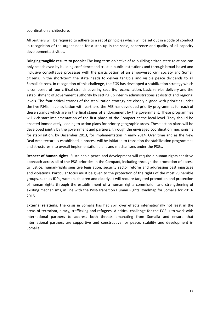coordination architecture.

All partners will be required to adhere to a set of principles which will be set out in a code of conduct in recognition of the urgent need for a step up in the scale, coherence and quality of all capacity development activities.

**Bringing tangible results to people:** The long-term objective of re-building citizen-state relations can only be achieved by building confidence and trust in public institutions and through broad-based and inclusive consultative processes with the participation of an empowered civil society and Somali citizens. In the short-term the state needs to deliver tangible and visible peace dividends to all Somali citizens. In recognition of this challenge, the FGS has developed a stabilization strategy which is composed of four critical strands covering security, reconciliation, basic service delivery and the establishment of government authority by setting up interim administrations at district and regional levels. The four critical strands of the stabilization strategy are closely aligned with priorities under the five PSGs. In consultation with partners, the FGS has developed priority programmes for each of these strands which are in the final stages of endorsement by the government. These programmes will kick-start implementation of the first phase of the Compact at the local level. They should be enacted immediately, leading to action plans for priority geographic areas. These action plans will be developed jointly by the government and partners, through the envisaged coordination mechanisms for stabilization, by December 2013, for implementation in early 2014. Over time and as the New Deal Architecture is established, a process will be initiated to transition the stabilization programmes and structures into overall implementation plans and mechanisms under the PSGs.

**Respect of human rights**: Sustainable peace and development will require a human rights sensitive approach across all of the PSG priorities in the Compact, including through the promotion of access to justice, human-rights sensitive legislation, security sector reform and addressing past injustices and violations. Particular focus must be given to the protection of the rights of the most vulnerable groups, such as IDPs, women, children and elderly. It will require targeted promotion and protection of human rights through the establishment of a human rights commission and strengthening of existing mechanisms, in line with the Post-Transition Human Rights Roadmap for Somalia for 2013- 2015.

**External relations**: The crisis in Somalia has had spill over effects internationally not least in the areas of terrorism, piracy, trafficking and refugees. A critical challenge for the FGS is to work with international partners to address both threats emanating from Somalia and ensure that international partners are supportive and constructive for peace, stability and development in Somalia.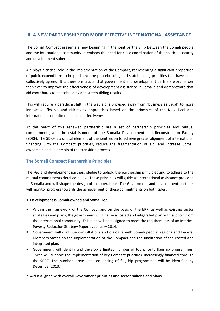# **III. A NEW PARTNERSHIP FOR MORE EFFECTIVE INTERNATIONAL ASSISTANCE**

The Somali Compact presents a new beginning in the joint partnership between the Somali people and the international community. It embeds the need for close coordination of the political, security and development spheres.

Aid plays a critical role in the implementation of the Compact, representing a significant proportion of public expenditure to help achieve the peacebuilding and statebuilding priorities that have been collectively agreed. It is therefore crucial that government and development partners work harder than ever to improve the effectiveness of development assistance in Somalia and demonstrate that aid contributes to peacebuilding and statebuilding results.

This will require a paradigm shift in the way aid is provided away from "business as usual" to more innovative, flexible and risk-taking approaches based on the principles of the New Deal and international commitments on aid effectiveness.

At the heart of this renewed partnership are a set of partnership principles and mutual commitments, and the establishment of the Somalia Development and Reconstruction Facility (SDRF). The SDRF is a critical element of the joint vision to achieve greater alignment of international financing with the Compact priorities, reduce the fragmentation of aid, and increase Somali ownership and leadership of the transition process.

# **The Somali Compact Partnership Principles**

The FGS and development partners pledge to uphold the partnership principles and to adhere to the mutual commitments detailed below. These principles will guide all international assistance provided to Somalia and will shape the design of aid operations. The Government and development partners will monitor progress towards the achievement of these commitments on both sides.

#### **1. Development is Somali-owned and Somali led**

- Within the framework of the Compact and on the basis of the ERP, as well as existing sector strategies and plans, the government will finalise a costed and integrated plan with support from the international community. This plan will be designed to meet the requirements of an Interim-Poverty Reduction Strategy Paper by January 2014.
- Government will continue consultations and dialogue with Somali people, regions and Federal Members States on the implementation of the Compact and the finalization of the costed and integrated plan.
- Government will identify and develop a limited number of top priority flagship programmes. These will support the implementation of key Compact priorities, increasingly financed through the SDRF. The number, areas and sequencing of flagship programmes will be identified by December 2013.

#### **2. Aid is aligned with overall Government priorities and sector policies and plans**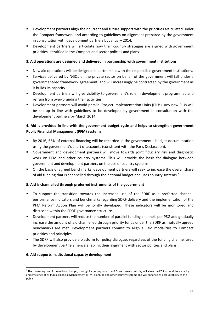- Development partners align their current and future support with the priorities articulated under the Compact framework and according to guidelines on alignment prepared by the government in consultation with development partners by January 2014.
- Development partners will articulate how their country strategies are aligned with government priorities identified in the Compact and sector policies and plans.

#### **3. Aid operations are designed and delivered in partnership with government institutions**

- New aid operations will be designed in partnership with the responsible government institutions.
- Services delivered by NGOs or the private sector on behalf of the government will fall under a government-led framework agreement, and will increasingly be contracted by the government as it builds its capacity.
- Development partners will give visibility to government's role in development programmes and refrain from over-branding their activities.
- Development partners will avoid parallel Project Implementation Units (PIUs). Any new PIUs will be set up in line with guidelines to be developed by government in consultation with the development partners by March 2014.

# **4. Aid is provided in line with the government budget cycle and helps to strengthen government Public Financial Management (PFM) systems**

- By 2016, 66% of external financing will be recorded in the government's budget documentation using the government's chart of accounts (consistent with the Paris Declaration).
- Government and development partners will move towards joint fiduciary risk and diagnostic work on PFM and other country systems. This will provide the basis for dialogue between government and development partners on the use of country systems.
- On the basis of agreed benchmarks, development partners will seek to increase the overall share of aid funding that is channelled through the national budget and uses country systems.<sup>3</sup>

#### **5. Aid is channelled through preferred instruments of the government**

- To support the transition towards the increased use of the SDRF as a preferred channel, performance indicators and benchmarks regarding SDRF delivery and the implementation of the PFM Reform Action Plan will be jointly developed. These indicators will be monitored and discussed within the SDRF governance structure.
- Development partners will reduce the number of parallel funding channels per PSG and gradually increase the amount of aid channelled through priority funds under the SDRF as mutually agreed benchmarks are met. Development partners commit to align all aid modalities to Compact priorities and principles.
- The SDRF will also provide a platform for policy dialogue, regardless of the funding channel used by development partners hence enabling their alignment with sector policies and plans.

#### **6. Aid supports institutional capacity development**

**<sup>.</sup>** <sup>3</sup> The increasing use of the national budget, through increasing capacity of Government controls, will allow the FGS to build the capacity and efficiency of its Public Financial Management (PFM) planning and other country systems and will enhance its accountability to the public.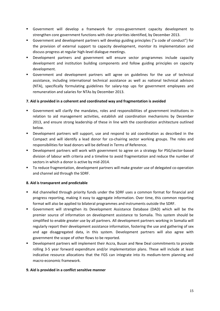- Government will develop a framework for cross-government capacity development to strengthen core government functions with clear priorities identified, by December 2013.
- Government and development partners will develop guiding principles ("a code of conduct") for the provision of external support to capacity development, monitor its implementation and discuss progress at regular high-level dialogue meetings.
- Development partners and government will ensure sector programmes include capacity development and institution building components and follow guiding principles on capacity development.
- Government and development partners will agree on guidelines for the use of technical assistance, including international technical assistance as well as national technical advisors (NTA), specifically formulating guidelines for salary-top ups for government employees and remuneration and salaries for NTAs by December 2013.

#### **7. Aid is provided in a coherent and coordinated way and fragmentation is avoided**

- Government will clarify the mandates, roles and responsibilities of government institutions in relation to aid management activities, establish aid coordination mechanisms by December 2013, and ensure strong leadership of these in line with the coordination architecture outlined below.
- Development partners will support, use and respond to aid coordination as described in the Compact and will identify a lead donor for co-chairing sector working groups. The roles and responsibilities for lead donors will be defined in Terms of Reference.
- Development partners will work with government to agree on a strategy for PSG/sector-based division of labour with criteria and a timeline to avoid fragmentation and reduce the number of sectors in which a donor is active by mid-2014.
- To reduce fragmentation, development partners will make greater use of delegated co-operation and channel aid through the SDRF.

#### **8. Aid is transparent and predictable**

- Aid channelled through priority funds under the SDRF uses a common format for financial and progress reporting, making it easy to aggregate information. Over time, this common reporting format will also be applied to bilateral programmes and instruments outside the SDRF.
- Government will strengthen its Development Assistance Database (DAD) which will be the premier source of information on development assistance to Somalia. This system should be simplified to enable greater use by all partners. All development partners working in Somalia will regularly report their development assistance information, fostering the use and gathering of sex and age disaggregated data, in this system. Development partners will also agree with government the scope of other flows to be reported.
- Development partners will implement their Accra, Busan and New Deal commitments to provide rolling 3-5 year forward expenditure and/or implementation plans. These will include at least indicative resource allocations that the FGS can integrate into its medium-term planning and macro-economic framework.

#### **9. Aid is provided in a conflict sensitive manner**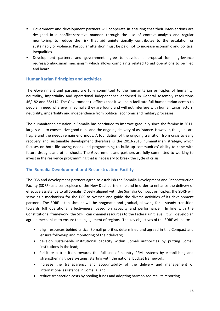- Government and development partners will cooperate in ensuring that their interventions are designed in a conflict-sensitive manner, through the use of context analysis and regular monitoring, to reduce the risk that aid unintentionally contributes to the escalation or sustainably of violence. Particular attention must be paid not to increase economic and political inequalities.
- Development partners and government agree to develop a proposal for a grievance redress/ombudsman mechanism which allows complaints related to aid operations to be filed and heard.

# **Humanitarian Principles and activities**

The Government and partners are fully committed to the humanitarian principles of humanity, neutrality, impartiality and operational independence endorsed in General Assembly resolutions 46/182 and 58/114. The Government reaffirms that it will help facilitate full humanitarian access to people in need wherever in Somalia they are found and will not interfere with humanitarian actors' neutrality, impartiality and independence from political, economic and military processes.

The humanitarian situation in Somalia has continued to improve gradually since the famine in 2011, largely due to consecutive good rains and the ongoing delivery of assistance. However, the gains are fragile and the needs remain enormous. A foundation of the ongoing transition from crisis to early recovery and sustainable development therefore is the 2013-2015 humanitarian strategy, which focuses on both life-saving needs and programming to build up communities' ability to cope with future drought and other shocks. The Government and partners are fully committed to working to invest in the resilience programming that is necessary to break the cycle of crisis.

# **The Somalia Development and Reconstruction Facility**

The FGS and development partners agree to establish the Somalia Development and Reconstruction Facility (SDRF) as a centrepiece of the New Deal partnership and in order to enhance the delivery of effective assistance to all Somalis. Closely aligned with the Somalia Compact principles, the SDRF will serve as a mechanism for the FGS to oversee and guide the diverse activities of its development partners. The SDRF establishment will be pragmatic and gradual, allowing for a steady transition towards full operational effectiveness, based on capacity and performance. In line with the Constitutional framework, the SDRF can channel resources to the Federal unit level. It will develop an agreed mechanism to ensure the engagement of regions. The key objectives of the SDRF will be to:

- align resources behind critical Somali priorities determined and agreed in this Compact and ensure follow-up and monitoring of their delivery;
- develop sustainable institutional capacity within Somali authorities by putting Somali institutions in the lead;
- facilitate a transition towards the full use of country PFM systems by establishing and strengthening those systems, starting with the national budget framework;
- increase the transparency and accountability of the delivery and management of international assistance in Somalia; and
- reduce transaction costs by pooling funds and adopting harmonized results reporting.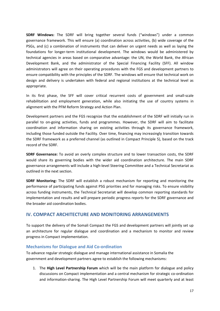**SDRF Windows:** The SDRF will bring together several funds ("windows") under a common governance framework. This will ensure (a) coordination across activities, (b) wide coverage of the PSGs, and (c) a combination of instruments that can deliver on urgent needs as well as laying the foundations for longer-term institutional development. The windows would be administered by technical agencies in areas based on comparative advantage: the UN, the World Bank, the African Development Bank, and the administrator of the Special Financing Facility (SFF). All window administrators will agree on their operating procedures with the FGS and development partners to ensure compatibility with the principles of the SDRF. The windows will ensure that technical work on design and delivery is undertaken with federal and regional institutions at the technical level as appropriate.

In its first phase, the SFF will cover critical recurrent costs of government and small-scale rehabilitation and employment generation, while also initiating the use of country systems in alignment with the PFM Reform Strategy and Action Plan.

Development partners and the FGS recognize that the establishment of the SDRF will initially run in parallel to on-going activities, funds and programmes. However, the SDRF will aim to facilitate coordination and information sharing on existing activities through its governance framework, including those funded outside the Facility. Over time, financing may increasingly transition towards the SDRF framework as a preferred channel (as outlined in Compact Principle 5), based on the track record of the SDRF.

**SDRF Governance:** To avoid an overly complex structure and to lower transaction costs, the SDRF would share its governing bodies with the wider aid coordination architecture. The main SDRF governance arrangements will include a high-level Steering Committee and a Technical Secretariat as outlined in the next section.

**SDRF Monitoring:** The SDRF will establish a robust mechanism for reporting and monitoring the performance of participating funds against PSG priorities and for managing risks. To ensure visibility across funding instruments, the Technical Secretariat will develop common reporting standards for implementation and results and will prepare periodic progress reports for the SDRF governance and the broader aid coordination bodies.

# **IV. COMPACT ARCHITECTURE AND MONITORING ARRANGEMENTS**

To support the delivery of the Somali Compact the FGS and development partners will jointly set up an architecture for regular dialogue and coordination and a mechanism to monitor and review progress in Compact implementation.

# **Mechanisms for Dialogue and Aid Co-ordination**

To advance regular strategic dialogue and manage international assistance in Somalia the government and development partners agree to establish the following mechanisms:

1. The **High Level Partnership Forum** which will be the main platform for dialogue and policy discussions on Compact implementation and a central mechanism for strategic co-ordination and information-sharing. The High Level Partnership Forum will meet quarterly and at least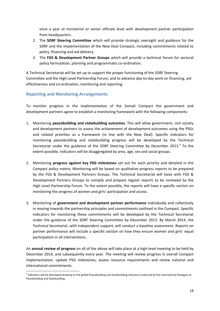once a year at ministerial or senior officials level with development partner participation from headquarters.

- 2. The **SDRF Steering Committee** which will provide strategic oversight and guidance for the SDRF and the implementation of the New Deal Compact, including commitments related to policy, financing and aid delivery.
- 3. The **FGS & Development Partner Groups** which will provide a technical forum for sectoral policy formulation, planning and programmatic co-ordination.

A Technical Secretariat will be set up to support the proper functioning of the SDRF Steering Committee and the High Level Partnership Forum, and to advance day-to-day work on financing, aid effectiveness and co-ordination, monitoring and reporting.

# **Reporting and Monitoring Arrangements**

To monitor progress in the implementation of the Somali Compact the government and development partners agree to establish a monitoring framework with the following components:

- 1. Monitoring **peacebuilding and statebuilding outcomes**. This will allow government, civil society and development partners to assess the achievement of development outcomes using the PSGs and related priorities as a framework (in line with the New Deal). Specific indicators for monitoring peacebuilding and statebuilding progress will be developed by the Technical Secretariat under the guidance of the SDRF Steering Committee by December 2013. $4$  To the extent possible, indicators will be disaggregated by area, age, sex and social groups.
- 2. Monitoring **progress against key PSG milestones** set out for each priority and detailed in the Compact policy matrix. Monitoring will be based on qualitative progress reports to be prepared by the FGS & Development Partners Groups. The Technical Secretariat will liaise with FGS & Development Partners Groups to compile and prepare regular reports to be reviewed by the High Level Partnership Forum. To the extent possible, the reports will have a specific section on monitoring the progress of women and girls' participation and access.
- 3. Monitoring of **government and development partner performance** individually and collectively in moving towards the partnership principles and commitments outlined in the Compact. Specific indicators for monitoring these commitments will be developed by the Technical Secretariat under the guidance of the SDRF Steering Committee by December 2013. By March 2014, the Technical Secretariat, with independent support, will conduct a baseline assessment. Reports on partner performance will include a specific section on how they ensure women and girls' equal participation in all interventions.

An **annual review of progress** on all of the above will take place at a high-level meeting to be held by December 2014, and subsequently every year. The meeting will review progress in overall Compact implementation, update PSG milestones, assess resource requirements and renew national and international commitments.

**<sup>.</sup>** <sup>4</sup> Indicators will be developed drawing on the global Peacebuilding and Statebuilding indicators endorsed by the International Dialogue on Peacebuilding and Statebuilding.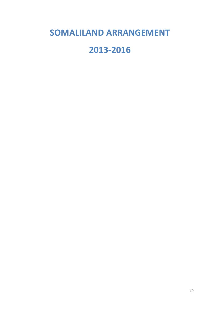# **SOMALILAND ARRANGEMENT**

# **2013-2016**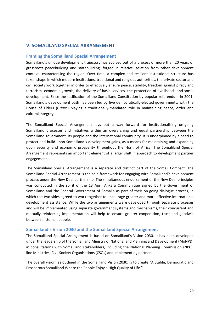# **V. SOMALILAND SPECIAL ARRANGEMENT**

#### **Framing the Somaliland Special Arrangement**

Somaliland's unique development trajectory has evolved out of a process of more than 20 years of grassroots peacebuilding and statebuilding, forged in relative isolation from other development contexts characterising the region. Over time, a complex and resilient institutional structure has taken shape in which modern institutions, traditional and religious authorities, the private sector and civil society work together in order to effectively ensure peace, stability, freedom against piracy and terrorism, economic growth, the delivery of basic services, the protection of livelihoods and social development. Since the ratification of the Somaliland Constitution by popular referendum in 2001, Somaliland's development path has been led by five democratically-elected governments, with the House of Elders (*Guurti*) playing a traditionally-mandated role in maintaining peace, order and cultural integrity.

The Somaliland Special Arrangement lays out a way forward for institutionalising on-going Somaliland processes and initiatives within an overarching and equal partnership between the Somaliland government, its people and the international community. It is underpinned by a need to protect and build upon Somaliland's development gains, as a means for maintaining and expanding upon security and economic prosperity throughout the Horn of Africa. The Somaliland Special Arrangement represents an important element of a larger shift in approach to development partner engagement.

The Somaliland Special Arrangement is a separate and distinct part of the Somali Compact. The Somaliland Special Arrangement is the sole framework for engaging with Somaliland's development process under the New Deal partnership. The simultaneous endorsement of the New Deal principles was conducted in the spirit of the 13 April Ankara Communiqué signed by the Government of Somaliland and the Federal Government of Somalia as part of their on-going dialogue process, in which the two sides agreed to work together to encourage greater and more effective international development assistance. While the two arrangements were developed through separate processes and will be implemented using separate government systems and mechanisms, their concurrent and mutually reinforcing implementation will help to ensure greater cooperation, trust and goodwill between all Somali people.

#### **Somaliland's Vision 2030 and the Somaliland Special Arrangement**

The Somaliland Special Arrangement is based on Somaliland's Vision 2030. It has been developed under the leadership of the Somaliland Ministry of National and Planning and Development (MoNPD) in consultations with Somaliland stakeholders, including the National Planning Commission (NPC), line Ministries, Civil Society Organisations (CSOs) and implementing partners.

The overall vision, as outlined in the Somaliland Vision 2030, is to create "A Stable, Democratic and Prosperous Somaliland Where the People Enjoy a High Quality of Life."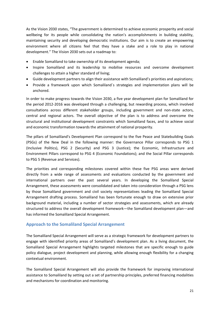As the Vision 2030 states, "The government is determined to achieve economic prosperity and social wellbeing for its people while consolidating the nation's accomplishments in building stability, maintaining security and developing democratic institutions. Our aim is to create an empowering environment where all citizens feel that they have a stake and a role to play in national development." The Vision 2030 sets out a roadmap to:

- Enable Somaliland to take ownership of its development agenda;
- Inspire Somaliland and its leadership to mobilise resources and overcome development challenges to attain a higher standard of living;
- Guide development partners to align their assistance with Somaliland's priorities and aspirations;
- Provide a framework upon which Somaliland´s strategies and implementation plans will be anchored.

In order to make progress towards the Vision 2030, a five year development plan for Somaliland for the period 2012-2016 was developed through a challenging, but rewarding process, which involved consultations across different stakeholder groups, including government and non-state actors, central and regional actors. The overall objective of the plan is to address and overcome the structural and institutional development constraints which Somaliland faces, and to achieve social and economic transformation towards the attainment of national prosperity.

The pillars of Somaliland's Development Plan correspond to the five Peace and Statebuilding Goals (PSGs) of the New Deal in the following manner: the Governance Pillar corresponds to PSG 1 (Inclusive Politics), PSG 2 (Security) and PSG 3 (Justice); the Economic, Infrastructure and Environment Pillars correspond to PSG 4 (Economic Foundations); and the Social Pillar corresponds to PSG 5 (Revenue and Services).

The priorities and corresponding milestones covered within these five PSG areas were derived directly from a wide range of assessments and evaluations conducted by the government and international partners over the past several years. In developing the Somaliland Special Arrangement, these assessments were consolidated and taken into consideration through a PSG lens by those Somaliland government and civil society representatives leading the Somaliland Special Arrangement drafting process. Somaliland has been fortunate enough to draw on extensive prior background material, including a number of sector strategies and assessments, which are already structured to address the overall development framework—the Somaliland development plan—and has informed the Somaliland Special Arrangement.

# **Approach to the Somaliland Special Arrangement**

The Somaliland Special Arrangement will serve as a strategic framework for development partners to engage with identified priority areas of Somaliland's development plan. As a living document, the Somaliland Special Arrangement highlights targeted milestones that are specific enough to guide policy dialogue, project development and planning, while allowing enough flexibility for a changing contextual environment.

The Somaliland Special Arrangement will also provide the framework for improving international assistance to Somaliland by setting out a set of partnership principles, preferred financing modalities and mechanisms for coordination and monitoring.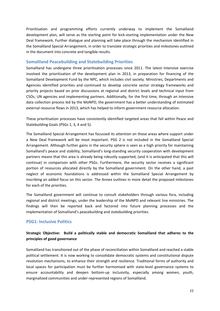Prioritisation and programming efforts currently underway to implement the Somaliland development plan, will serve as the starting point for kick-starting implementation under the New Deal framework. Further dialogue and planning will take place through the mechanism identified in the Somaliland Special Arrangement, in order to translate strategic priorities and milestones outlined in the document into concrete and tangible results.

#### **Somaliland Peacebuilding and Statebuilding Priorities**

Somaliland has undergone three prioritisation processes since 2011. The latest intensive exercise involved the prioritisation of the development plan in 2013, in preparation for financing of the Somaliland Development Fund by the NPC, which includes civil society. Ministries, Departments and Agencies identified priorities and continued to develop concrete sector strategy frameworks and priority projects based on prior discussions at regional and district levels and technical input from CSOs, UN agencies and implementing partners. Additionally, for the first time, through an intensive data collection process led by the MoNPD, the government has a better understanding of estimated external resource flows in 2013, which has helped to inform government resource allocation.

These prioritisation processes have consistently identified targeted areas that fall within Peace and Statebuilding Goals (PSGs 1, 3, 4 and 5).

The Somaliland Special Arrangement has focussed its attention on those areas where support under a New Deal framework will be most important. PSG 2 is not included in the Somaliland Special Arrangement. Although further gains in the security sphere is seen as a high priority for maintaining Somaliland's peace and stability, Somaliland's long-standing security cooperation with development partners means that this area is already being robustly supported, (and it is anticipated that this will continue) in comparison with other PSGs. Furthermore, the security sector receives a significant portion of resources allocated directly by the Somaliland government. On the other hand, a past neglect of economic foundations is addressed within the Somaliland Special Arrangement by inscribing an added focus on this sector. The Annex outlines in more detail the proposed milestones for each of the priorities.

The Somaliland government will continue to consult stakeholders through various fora, including regional and district meetings, under the leadership of the MoNPD and relevant line ministries. The findings will then be reported back and factored into future planning processes and the implementation of Somaliland's peacebuilding and statebuilding priorities.

#### **PSG1: Inclusive Politics**

# **Strategic Objective: Build a politically stable and democratic Somaliland that adheres to the principles of good governance**

Somaliland has transitioned out of the phase of reconciliation within Somaliland and reached a stable political settlement. It is now working to consolidate democratic systems and constitutional dispute resolution mechanisms, to enhance their strength and resilience. Traditional forms of authority and local spaces for participation must be further harmonised with state-level governance systems to ensure accountability and deepen bottom-up inclusivity, especially among women, youth, marginalized communities and under-represented regions of Somaliland.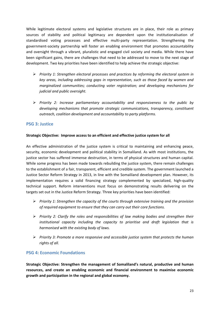While legitimate electoral systems and legislative structures are in place, their role as primary sources of stability and political legitimacy are dependent upon the institutionalisation of standardised voting processes and effective multi-party representation. Strengthening the government-society partnership will foster an enabling environment that promotes accountability and oversight through a vibrant, pluralistic and engaged civil society and media. While there have been significant gains, there are challenges that need to be addressed to move to the next stage of development. Two key priorities have been identified to help achieve the strategic objective:

- ¾ *Priority 1: Strengthen electoral processes and practices by reforming the electoral system in key areas, including addressing gaps in representation, such as those faced by women and marginalized communities; conducting voter registration; and developing mechanisms for judicial and public oversight.*
- ¾ *Priority 2: Increase parliamentary accountability and responsiveness to the public by developing mechanisms that promote strategic communications, transparency, constituent outreach, coalition development and accountability to party platforms.*

#### **PSG 3: Justice**

#### **Strategic Objective: Improve access to an efficient and effective justice system for all**

An effective administration of the justice system is critical to maintaining and enhancing peace, security, economic development and political stability in Somaliland. As with most institutions, the justice sector has suffered immense destruction, in terms of physical structures and human capital. While some progress has been made towards rebuilding the justice system, there remain challenges to the establishment of a fair, transparent, efficient and credible system. The government launched a Justice Sector Reform Strategy in 2013, in line with the Somaliland development plan. However, its implementation requires a solid financing strategy complemented by specialized, high-quality technical support. Reform interventions must focus on demonstrating results delivering on the targets set out in the Justice Reform Strategy. Three key priorities have been identified:

- ¾ *Priority 1: Strengthen the capacity of the courts through extensive training and the provision of required equipment to ensure that they can carry out their core functions.*
- ¾ *Priority 2: Clarify the roles and responsibilities of law making bodies and strengthen their institutional capacity including the capacity to prioritise and draft legislation that is harmonised with the existing body of laws.*
- ¾ *Priority 3: Promote a more responsive and accessible justice system that protects the human rights of all.*

#### **PSG 4: Economic Foundations**

**Strategic Objective: Strengthen the management of Somaliland's natural, productive and human resources, and create an enabling economic and financial environment to maximise economic growth and participation in the regional and global economy.**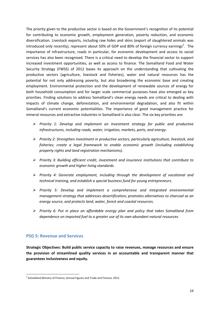The priority given to the productive sector is based on the Government's recognition of its potential for contributing to economic growth, employment generation, poverty reduction, and economic diversification. Livestock exports, including raw hides and skins (export of slaughtered animals was introduced only recently), represent about 50% of GDP and 80% of foreign currency earnings<sup>5</sup>. The importance of infrastructure, roads in particular, for economic development and access to social services has also been recognised. There is a critical need to develop the financial sector to support increased investment opportunities, as well as access to finance. The Somaliland Food and Water Security Strategy (FWSS) of 2012 bases its approach on the understanding that cultivating the productive sectors (agriculture, livestock and fisheries), water and natural resources has the potential for not only addressing poverty, but also broadening the economic base and creating employment. Environmental protection and the development of renewable sources of energy for both household consumption and for larger scale commercial purposes have also emerged as key priorities. Finding solutions to address Somaliland's clean energy needs are critical to dealing with impacts of climate change, deforestation, and environmental degradation, and also fit within Somaliland's current economic potentialities. The importance of good management practice for mineral resources and extractive industries in Somaliland is also clear. The six key priorities are:

- ¾ *Priority 1: Develop and implement an investment strategy for public and productive infrastructures, including roads, water, irrigation, markets, ports, and energy.*
- ¾ *Priority 2: Strengthen investment in productive sectors, particularly agriculture, livestock, and fisheries; create a legal framework to enable economic growth (including establishing property rights and land registration mechanisms).*
- ¾ *Priority 3: Building efficient credit, investment and insurance institutions that contribute to economic growth and higher living standards.*
- ¾ *Priority 4: Generate employment, including through the development of vocational and technical training, and establish a special business fund for young entrepreneurs.*
- ¾ *Priority 5: Develop and implement a comprehensive and integrated environmental management strategy that addresses desertification, promotes alternatives to charcoal as an energy source, and protects land, water, forest and coastal resources.*
- ¾ *Priority 6: Put in place an affordable energy plan and policy that takes Somaliland from dependence on imported fuel to a greater use of its own abundant natural resources.*

# **PSG 5: Revenue and Services**

**Strategic Objectives: Build public service capacity to raise revenues, manage resources and ensure the provision of streamlined quality services in an accountable and transparent manner that guarantees inclusiveness and equity.** 

**<sup>.</sup>** <sup>5</sup> Somaliland Ministry of Finance, Annual Figures and Trade and Finance, 2012.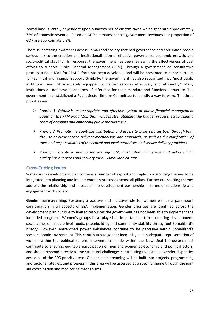Somaliland is largely dependent upon a narrow set of custom taxes which generate approximately 75% of domestic revenue. Based on GDP estimates, central government revenues as a proportion of GDP are approximately 8%.

There is increasing awareness across Somaliland society that bad governance and corruption pose a serious risk to the creation and institutionalisation of effective governance, economic growth, and socio-political stability. In response, the government has been reviewing the effectiveness of past efforts to support Public Financial Management (PFM). Through a government-led consultative process, a Road Map for PFM Reform has been developed and will be presented to donor partners for technical and financial support. Similarly, the government has also recognized that "most public institutions are not adequately equipped to deliver services effectively and efficiently." Many institutions do not have clear terms of reference for their mandate and functional structure. The government has established a Public Sector Reform Committee to identify a way forward. The three priorities are:

- ¾ *Priority 1: Establish an appropriate and effective system of public financial management based on the PFM Road Map that includes strengthening the budget process, establishing a chart of accounts and enhancing public procurement.*
- ¾ *Priority 2: Promote the equitable distribution and access to basic services both through both the use of clear service delivery mechanisms and standards, as well as the clarification of roles and responsibilities of the central and local authorities and service delivery providers.*
- ¾ *Priority 3: Create a merit based and equitably distributed civil service that delivers high quality basic services and security for all Somaliland citizens.*

#### **Cross-Cutting Issues**

Somaliland's development plan contains a number of explicit and implicit crosscutting themes to be integrated into planning and implementation processes across all pillars. Further crosscutting themes address the relationship and impact of the development partnership in terms of relationship and engagement with society.

**Gender mainstreaming:** Fostering a positive and inclusive role for women will be a paramount consideration in all aspects of SSA implementation. Gender priorities are identified across the development plan but due to limited resources the government has not been able to implement the identified programs. Women's groups have played an important part in promoting development, social cohesion, secure livelihoods, peacebuilding and community stability throughout Somaliland's history. However, entrenched power imbalances continue to be pervasive within Somaliland's socioeconomic environment. This contributes to gender inequality and inadequate representation of women within the political sphere. Interventions made within the New Deal framework must contribute to ensuring equitable participation of men and women as economic and political actors, and should respond directly to the structural challenges contributing to sustained gender disparities across all of the PSG priority areas. Gender mainstreaming will be built into projects, programming and sector strategies, and progress in this area will be assessed as a specific theme through the joint aid coordination and monitoring mechanisms.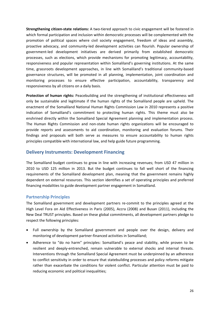**Strengthening citizen-state relations:** A two-tiered approach to civic engagement will be fostered in which formal participation and inclusion within democratic processes will be complemented with the promotion of political spaces where civil society engagement, freedom of ideas and assembly, proactive advocacy, and community-led development activities can flourish. Popular ownership of government-led development initiatives are derived primarily from established democratic processes, such as elections, which provide mechanisms for promoting legitimacy, accountability, responsiveness and popular representation within Somaliland's governing institutions. At the same time, grassroots development approaches, in line with Somaliland's traditional community-based governance structures, will be promoted in all planning, implementation, joint coordination and monitoring processes to ensure effective participation, accountability, transparency and responsiveness by all citizens on a daily basis.

**Protection of human rights:** Peacebuilding and the strengthening of institutional effectiveness will only be sustainable and legitimate if the human rights of the Somaliland people are upheld. The enactment of the Somaliland National Human Rights Commission Law in 2010 represents a positive indication of Somaliland's commitment to protecting human rights. This theme must also be enshrined directly within the Somaliland Special Agreement planning and implementation process. The Human Rights Commission and non-state human rights organizations will be encouraged to provide reports and assessments to aid coordination, monitoring and evaluation forums. Their findings and proposals will both serve as measures to ensure accountability to human rights principles compatible with international law, and help guide future programming.

# **Delivery Instruments: Development Financing**

The Somaliland budget continues to grow in line with increasing revenues; from USD 47 million in 2010 to USD 125 million in 2013. But the budget continues to fall well short of the financing requirements of the Somaliland development plan, meaning that the government remains highly dependent on external resources. This section identifies a set of operating principles and preferred financing modalities to guide development partner engagement in Somaliland.

# **Partnership Principles**

The Somaliland government and development partners re-commit to the principles agreed at the High Level Fora on Aid Effectiveness in Paris (2005), Accra (2008) and Busan (2011), including the New Deal TRUST principles. Based on these global commitments, all development partners pledge to respect the following principles:

- Full ownership by the Somaliland government and people over the design, delivery and monitoring of development partner-financed activities in Somaliland;
- Adherence to "do no harm" principles: Somaliland's peace and stability, while proven to be resilient and deeply-entrenched, remain vulnerable to external shocks and internal threats. Interventions through the Somaliland Special Agreement must be underpinned by an adherence to conflict sensitivity in order to ensure that statebuilding processes and policy reforms mitigate rather than exacerbate the conditions for violent conflict. Particular attention must be paid to reducing economic and political inequalities;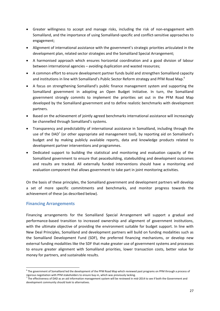- Greater willingness to accept and manage risks, including the risk of non-engagement with Somaliland, and the importance of using Somaliland-specific and conflict-sensitive approaches to engagement;
- Alignment of international assistance with the government's strategic priorities articulated in the development plan, related sector strategies and the Somaliland Special Arrangement;
- A harmonised approach which ensures horizontal coordination and a good division of labour between international agencies – avoiding duplication and wasted resources;
- A common effort to ensure development partner funds build and strengthen Somaliland capacity and institutions in line with Somaliland's Public Sector Reform strategy and PFM Road Map.<sup>6</sup>
- A focus on strengthening Somaliland's public finance management system and supporting the Somaliland government in adopting an Open Budget Initiative. In turn, the Somaliland government strongly commits to implement the priorities set out in the PFM Road Map developed by the Somaliland government and to define realistic benchmarks with development partners.
- Based on the achievement of jointly agreed benchmarks international assistance will increasingly be channelled through Somaliland's systems.
- Transparency and predictability of international assistance in Somaliland, including through the use of the DAD<sup>7</sup> (or other appropriate aid management tool), by reporting aid on Somaliland's budget and by making publicly available reports, data and knowledge products related to development partner interventions and programmes.
- Dedicated support to building the statistical and monitoring and evaluation capacity of the Somaliland government to ensure that peacebuilding, statebuilding and development outcomes and results are tracked. All externally funded interventions should have a monitoring and evaluation component that allows government to take part in joint monitoring activities.

On the basis of these principles, the Somaliland government and development partners will develop a set of more specific commitments and benchmarks, and monitor progress towards the achievement of these (as described below).

# **Financing Arrangements**

**.** 

Financing arrangements for the Somaliland Special Arrangement will support a gradual and performance-based transition to increased ownership and alignment of government institutions, with the ultimate objective of providing the environment suitable for budget support. In line with New Deal Principles, Somaliland and development partners will build on funding modalities such as the Somaliland Development Fund (SDF), the preferred financing mechanisms, or develop new external funding modalities like the SDF that make greater use of government systems and processes to ensure greater alignment with Somaliland priorities, lower transaction costs, better value for money for partners, and sustainable results.

<sup>&</sup>lt;sup>6</sup> The government of Somaliland led the development of the PFM Road Map which reviewed past programs on PFM through a process of rigorous negotiation with PFM stakeholders to ensure buy-in, which was previously lacking. 7

 $^7$  The effectiveness of DAD as an aid information management system will be reviewed in mid-2014 to see if both the Government and development community should look to alternatives.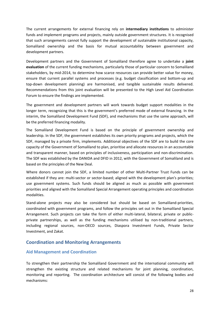The current arrangements for external financing rely on **intermediary institutions** to administer funds and implement programs and projects, mainly outside government structures. It is recognised that such arrangements cannot fully support the development of sustainable institutional capacity, Somaliland ownership and the basis for mutual accountability between government and development partners.

Development partners and the Government of Somaliland therefore agree to undertake a **joint evaluation** of the current funding mechanisms, particularly those of particular concern to Somaliland stakeholders, by mid-2014, to determine how scarce resources can provide better value for money, ensure that current parallel systems and processes (e.g. budget classification and bottom-up and top-down development planning) are harmonised, and tangible sustainable results delivered. Recommendations from this joint evaluation will be presented to the High Level Aid Coordination Forum to ensure the findings are implemented.

The government and development partners will work towards budget support modalities in the longer term, recognizing that this is the government's preferred mode of external financing. In the interim, the Somaliland Development Fund (SDF), and mechanisms that use the same approach, will be the preferred financing modality.

The Somaliland Development Fund is based on the principle of government ownership and leadership. In the SDF, the government establishes its own priority programs and projects, which the SDF, managed by a private firm, implements. Additional objectives of the SDF are to build the core capacity of the Government of Somaliland to plan, prioritise and allocate resources in an accountable and transparent manner, based on principles of inclusiveness, participation and non-discrimination. The SDF was established by the DANIDA and DFID in 2012, with the Government of Somaliland and is based on the principles of the New Deal.

Where donors cannot join the SDF, a limited number of other Multi-Partner Trust Funds can be established if they are: multi-sector or sector-based; aligned with the development plan's priorities; use government systems. Such funds should be aligned as much as possible with government priorities and aligned with the Somaliland Special Arrangement operating principles and coordination modalities.

Stand-alone projects may also be considered but should be based on Somaliland-priorities, coordinated with government programs, and follow the principles set out in the Somaliland Special Arrangement. Such projects can take the form of either multi-lateral, bilateral, private or publicprivate partnerships, as well as the funding mechanisms utilised by non-traditional partners, including regional sources, non-OECD sources, Diaspora Investment Funds, Private Sector Investment, and Zakat.

# **Coordination and Monitoring Arrangements**

# **Aid Management and Coordination**

To strengthen their partnership the Somaliland Government and the international community will strengthen the existing structure and related mechanisms for joint planning, coordination, monitoring and reporting. The coordination architecture will consist of the following bodies and mechanisms: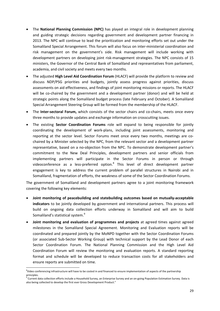- The **National Planning Commission (NPC)** has played an integral role in development planning and guiding strategic decisions regarding government and development partner financing in 2013. The NPC will continue to lead the prioritization and monitoring efforts set out under the Somaliland Special Arrangement. This forum will also focus on inter-ministerial coordination and risk management on the government's side. Risk management will include working with development partners on developing joint risk-management strategies. The NPC consists of 15 ministers, the Governor of the Central Bank of Somaliland and representatives from parliament, academia, and civil society and meets every two months.
- The adjusted **High Level Aid Coordination Forum** (HLACF) will provide the platform to review and discuss NDP/PSG priorities and budgets, jointly assess progress against priorities, discuss assessments on aid effectiveness, and findings of joint monitoring missions or reports. The HLACF will be co-chaired by the government and a development partner (donor) and will be held at strategic points along the Somaliland budget process (late February and October). A Somaliland Special Arrangement Steering Group will be formed from the membership of the HLACF.
- The **Inter-sectoral Forum,** which consists of the sector chairs and co-chairs, meets once every three months to provide updates and exchange information on crosscutting issues.
- The existing **Sector Coordination Forums** role will expand to being responsible for jointly coordinating the development of work-plans, including joint assessments, monitoring and reporting at the sector level. Sector Forums meet once every two months, meetings are cochaired by a Minister selected by the NPC, from the relevant sector and a development partner representative, based on a no-objection from the NPC. To demonstrate development partner's commitment to the New Deal Principles, development partners and senior officials from implementing partners will participate in the Sector Forums in person or through videoconference as a less-preferred option.<sup>8</sup> This level of direct development partner engagement is key to address the current problem of parallel structures in Nairobi and in Somaliland, fragmentation of efforts, the weakness of some of the Sector Coordination Forums.

The government of Somaliland and development partners agree to a joint monitoring framework covering the following key elements:

- **Joint monitoring of peacebuilding and statebuilding outcomes based on mutually-acceptable indicators** to be jointly developed by government and international partners. This process will build on ongoing data collection efforts underway in Somaliland and will aim to build Somaliland's statistical system.<sup>9</sup>
- **Joint monitoring and evaluation of programmes and projects** at agreed times against agreed milestones in the Somaliland Special Agreement. Monitoring and Evaluation reports will be coordinated and prepared jointly by the MoNPD together with the Sector Coordination Forums (or associated Sub-Sector Working Group) with technical support by the Lead Donor of each Sector Coordination Forum. The National Planning Commission and the High Level Aid Coordination Forum will review the monitoring and evaluation reports. A standard reporting format and schedule will be developed to reduce transaction costs for all stakeholders and ensure reports are submitted on time.

**.** 

<sup>&</sup>lt;sup>8</sup>Video conferencing infrastructure will have to be costed in and financed to ensure implementation of aspects of the partnership principles.

<sup>&</sup>lt;sup>9</sup> Current data collection efforts include a Household Survey, an Enterprise Survey and an on-going Population Estimation Survey. Data is also being collected to develop the first ever Gross Development Product."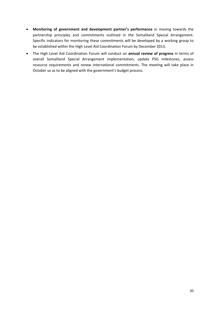- **Monitoring of government and development partner's performance** in moving towards the partnership principles and commitments outlined in the Somaliland Special Arrangement. Specific indicators for monitoring these commitments will be developed by a working group to be established within the High Level Aid Coordination Forum by December 2013.
- The High Level Aid Coordination Forum will conduct an **annual review of progress** in terms of overall Somaliland Special Arrangement implementation, update PSG milestones, assess resource requirements and renew international commitments. The meeting will take place in October so as to be aligned with the government's budget process.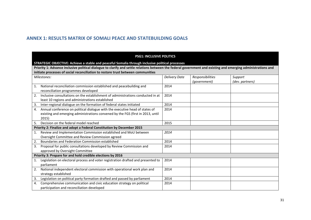# **ANNEX 1: RESULTS MATRIX OF SOMALI PEACE AND STATEBUILDING GOALS**

#### **PSG1: INCLUSIVE POLITICS**

#### **STRATEGIC OBJECTIVE: Achieve a stable and peaceful Somalia through inclusive political processes**

**Priority 1: Advance inclusive political dialogue to clarify and settle relations between the federal government and existing and emerging administrations and initiate processes of social reconciliation to restore trust between communities** 

| Milestones: |                                                                                  | <b>Delivery Date</b> | Responsibilities | Support         |
|-------------|----------------------------------------------------------------------------------|----------------------|------------------|-----------------|
|             |                                                                                  |                      | (government)     | (dev. partners) |
| 1.          | National reconciliation commission established and peacebuilding and             | 2014                 |                  |                 |
|             | reconciliation programmes developed                                              |                      |                  |                 |
| 2.          | Inclusive consultations on the establishment of administrations conducted in at  | 2014                 |                  |                 |
|             | least 10 regions and administrations established                                 |                      |                  |                 |
| 3.          | Inter-regional dialogue on the formation of federal states initiated             | 2014                 |                  |                 |
| 4.          | Annual conference on political dialogue with the executive head of states of     | 2014                 |                  |                 |
|             | existing and emerging administrations convened by the FGS (first in 2013, until  |                      |                  |                 |
|             | 2015)                                                                            |                      |                  |                 |
| 5.          | Decision on the federal model reached                                            | 2015                 |                  |                 |
|             | Priority 2: Finalize and adopt a Federal Constitution by December 2015           |                      |                  |                 |
| 1.          | Review and Implementation Commission established and MoU between                 | 2014                 |                  |                 |
|             | Oversight Committee and Review Commission agreed                                 |                      |                  |                 |
| 2.          | Boundaries and Federation Commission established                                 | 2014                 |                  |                 |
| 3.          | Proposal for public consultations developed by Review Commission and             | 2014                 |                  |                 |
|             | approved by Oversight Committee                                                  |                      |                  |                 |
|             | Priority 3: Prepare for and hold credible elections by 2016                      |                      |                  |                 |
|             | Legislation on electoral process and voter registration drafted and presented to | 2014                 |                  |                 |
|             | parliament                                                                       |                      |                  |                 |
| 2.          | National independent electoral commission with operational work plan and         | 2014                 |                  |                 |
|             | strategy established                                                             |                      |                  |                 |
| 3.          | Legislation on political party formation drafted and passed by parliament        | 2014                 |                  |                 |
| 4.          | Comprehensive communication and civic education strategy on political            | 2014                 |                  |                 |
|             | participation and reconciliation developed                                       |                      |                  |                 |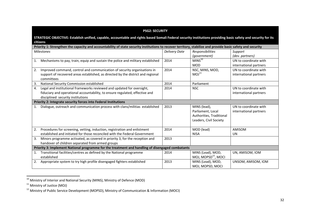|    | <b>PSG2: SECURITY</b>                                                                                                                                                                       |                      |                                                                                         |                                                 |  |
|----|---------------------------------------------------------------------------------------------------------------------------------------------------------------------------------------------|----------------------|-----------------------------------------------------------------------------------------|-------------------------------------------------|--|
|    | STRATEGIC OBJECTIVE: Establish unified, capable, accountable and rights based Somali Federal security institutions providing basic safety and security for its<br>citizens                  |                      |                                                                                         |                                                 |  |
|    | Priority 1: Strengthen the capacity and accountability of state security institutions to recover territory, stabilize and provide basic safety and security                                 |                      |                                                                                         |                                                 |  |
|    | <b>Milestones</b>                                                                                                                                                                           | <b>Delivery Date</b> | Responsibilities<br>(government)                                                        | Support<br>(dev. partners)                      |  |
| 1. | Mechanisms to pay, train, equip and sustain the police and military established                                                                                                             | 2014                 | MINS <sup>10</sup><br><b>MOD</b>                                                        | UN to coordinate with<br>international partners |  |
| 2. | Improved command, control and communication of security organisations in<br>support of recovered areas established, as directed by the district and regional<br>committees                  | 2014                 | NSC, MINS, MOD,<br>MOJ <sup>11</sup>                                                    | UN to coordinate with<br>international partners |  |
| 3. | National Security Commission established                                                                                                                                                    | 2014                 | Parliament                                                                              |                                                 |  |
| 4. | Legal and institutional frameworks reviewed and updated for oversight,<br>fiduciary and operational accountability, to ensure regulated, effective and<br>disciplined security institutions | 2014                 | <b>NSC</b>                                                                              | UN to coordinate with<br>international partners |  |
|    | Priority 2: Integrate security forces into Federal Institutions                                                                                                                             |                      |                                                                                         |                                                 |  |
| 1. | Dialogue, outreach and communication process with clans/militias established                                                                                                                | 2013                 | MINS (lead),<br>Parliament, Local<br>Authorities, Traditional<br>Leaders, Civil Society | UN to coordinate with<br>international partners |  |
| 2. | Procedures for screening, vetting, induction, registration and enlistment<br>established and initiated for those reconciled with the Federal Government                                     | 2014                 | MOD (lead)<br><b>NISA</b>                                                               | AMISOM<br>UN                                    |  |
| 3. | Minors programme activated, as covered in priority 3, for the reception and<br>handover of children separated from armed groups                                                             | 2013                 |                                                                                         |                                                 |  |
|    | Priority 3: Implement National programme for the treatment and handling of disengaged combatants                                                                                            |                      |                                                                                         |                                                 |  |
| 1. | Transitional facilities/centres as defined by the National programme<br>established                                                                                                         | 2014                 | MINS (Lead), MOD,<br>MOJ, MOPSD <sup>12</sup> , MOCI                                    | UN, AMISOM, IOM                                 |  |
| 2. | Appropriate system to try high profile disengaged fighters established                                                                                                                      | 2013                 | MINS (Lead), MOD,<br>MOJ, MOPSD, MOCI                                                   | UNSOM, AMISOM, IOM                              |  |

 $10$  Ministry of Interior and National Security (MINS), Ministry of Defence (MOD)

<sup>&</sup>lt;sup>11</sup> Ministry of Justice (MOJ)

<sup>12</sup> Ministry of Public Service Development (MOPSD), Ministry of Communication & Information (MOCI)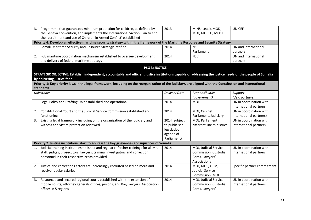| 2013                                                                            | MINS (Lead), MOD,                                                                                                                                                                                                                            | <b>UNICEF</b>                                                                                                                                                                                                                                                                                                                                                                                                                                                                                                                                                                                                                       |
|---------------------------------------------------------------------------------|----------------------------------------------------------------------------------------------------------------------------------------------------------------------------------------------------------------------------------------------|-------------------------------------------------------------------------------------------------------------------------------------------------------------------------------------------------------------------------------------------------------------------------------------------------------------------------------------------------------------------------------------------------------------------------------------------------------------------------------------------------------------------------------------------------------------------------------------------------------------------------------------|
|                                                                                 | MOJ, MOPSD, MOCI                                                                                                                                                                                                                             |                                                                                                                                                                                                                                                                                                                                                                                                                                                                                                                                                                                                                                     |
|                                                                                 |                                                                                                                                                                                                                                              |                                                                                                                                                                                                                                                                                                                                                                                                                                                                                                                                                                                                                                     |
|                                                                                 |                                                                                                                                                                                                                                              |                                                                                                                                                                                                                                                                                                                                                                                                                                                                                                                                                                                                                                     |
| 2014                                                                            | <b>NSC</b>                                                                                                                                                                                                                                   | UN and international                                                                                                                                                                                                                                                                                                                                                                                                                                                                                                                                                                                                                |
|                                                                                 | Parliament                                                                                                                                                                                                                                   | partners                                                                                                                                                                                                                                                                                                                                                                                                                                                                                                                                                                                                                            |
| 2014                                                                            | <b>NSC</b>                                                                                                                                                                                                                                   | UN and international                                                                                                                                                                                                                                                                                                                                                                                                                                                                                                                                                                                                                |
|                                                                                 |                                                                                                                                                                                                                                              | partners                                                                                                                                                                                                                                                                                                                                                                                                                                                                                                                                                                                                                            |
|                                                                                 |                                                                                                                                                                                                                                              |                                                                                                                                                                                                                                                                                                                                                                                                                                                                                                                                                                                                                                     |
|                                                                                 |                                                                                                                                                                                                                                              |                                                                                                                                                                                                                                                                                                                                                                                                                                                                                                                                                                                                                                     |
|                                                                                 |                                                                                                                                                                                                                                              |                                                                                                                                                                                                                                                                                                                                                                                                                                                                                                                                                                                                                                     |
|                                                                                 |                                                                                                                                                                                                                                              |                                                                                                                                                                                                                                                                                                                                                                                                                                                                                                                                                                                                                                     |
|                                                                                 |                                                                                                                                                                                                                                              |                                                                                                                                                                                                                                                                                                                                                                                                                                                                                                                                                                                                                                     |
|                                                                                 |                                                                                                                                                                                                                                              |                                                                                                                                                                                                                                                                                                                                                                                                                                                                                                                                                                                                                                     |
|                                                                                 |                                                                                                                                                                                                                                              | Support                                                                                                                                                                                                                                                                                                                                                                                                                                                                                                                                                                                                                             |
|                                                                                 |                                                                                                                                                                                                                                              | (dev. partners)                                                                                                                                                                                                                                                                                                                                                                                                                                                                                                                                                                                                                     |
|                                                                                 |                                                                                                                                                                                                                                              | UN in coordination with                                                                                                                                                                                                                                                                                                                                                                                                                                                                                                                                                                                                             |
|                                                                                 |                                                                                                                                                                                                                                              | international partners                                                                                                                                                                                                                                                                                                                                                                                                                                                                                                                                                                                                              |
|                                                                                 |                                                                                                                                                                                                                                              | UN in coordination with                                                                                                                                                                                                                                                                                                                                                                                                                                                                                                                                                                                                             |
|                                                                                 |                                                                                                                                                                                                                                              | international partners)                                                                                                                                                                                                                                                                                                                                                                                                                                                                                                                                                                                                             |
|                                                                                 |                                                                                                                                                                                                                                              | UN in coordination with                                                                                                                                                                                                                                                                                                                                                                                                                                                                                                                                                                                                             |
|                                                                                 |                                                                                                                                                                                                                                              | international partners                                                                                                                                                                                                                                                                                                                                                                                                                                                                                                                                                                                                              |
|                                                                                 |                                                                                                                                                                                                                                              |                                                                                                                                                                                                                                                                                                                                                                                                                                                                                                                                                                                                                                     |
|                                                                                 |                                                                                                                                                                                                                                              |                                                                                                                                                                                                                                                                                                                                                                                                                                                                                                                                                                                                                                     |
|                                                                                 |                                                                                                                                                                                                                                              |                                                                                                                                                                                                                                                                                                                                                                                                                                                                                                                                                                                                                                     |
|                                                                                 |                                                                                                                                                                                                                                              |                                                                                                                                                                                                                                                                                                                                                                                                                                                                                                                                                                                                                                     |
| 2014                                                                            | MOJ, Judicial Service                                                                                                                                                                                                                        | UN in coordination with                                                                                                                                                                                                                                                                                                                                                                                                                                                                                                                                                                                                             |
|                                                                                 |                                                                                                                                                                                                                                              | international partners                                                                                                                                                                                                                                                                                                                                                                                                                                                                                                                                                                                                              |
|                                                                                 | Corps, Lawyers'                                                                                                                                                                                                                              |                                                                                                                                                                                                                                                                                                                                                                                                                                                                                                                                                                                                                                     |
|                                                                                 | Associations                                                                                                                                                                                                                                 |                                                                                                                                                                                                                                                                                                                                                                                                                                                                                                                                                                                                                                     |
| 2014                                                                            | MOJ, MOF, OPM,                                                                                                                                                                                                                               | Specific partner commitment                                                                                                                                                                                                                                                                                                                                                                                                                                                                                                                                                                                                         |
|                                                                                 | <b>Judicial Service</b>                                                                                                                                                                                                                      |                                                                                                                                                                                                                                                                                                                                                                                                                                                                                                                                                                                                                                     |
|                                                                                 | Commission, MOE                                                                                                                                                                                                                              |                                                                                                                                                                                                                                                                                                                                                                                                                                                                                                                                                                                                                                     |
| 2014                                                                            | MOJ, Judicial Service                                                                                                                                                                                                                        | UN in coordination with                                                                                                                                                                                                                                                                                                                                                                                                                                                                                                                                                                                                             |
|                                                                                 | Commission, Custodial                                                                                                                                                                                                                        | international partners                                                                                                                                                                                                                                                                                                                                                                                                                                                                                                                                                                                                              |
|                                                                                 | Corps, Lawyers'                                                                                                                                                                                                                              |                                                                                                                                                                                                                                                                                                                                                                                                                                                                                                                                                                                                                                     |
| mobile courts, attorney generals offices, prisons, and Bar/Lawyers' Association | <b>PSG 3: JUSTICE</b><br><b>Delivery Date</b><br>2014<br>2014<br>2014 (subject<br>to publicised<br>legislative<br>agenda of<br>Parliament)<br>Priority 2: Justice institutions start to address the key grievances and injustices of Somalis | Priority 4: Develop an effective maritime security strategy within the framework of the Maritime Resource and Security Strategy<br>STRATEGIC OBJECTIVE: Establish independent, accountable and efficient justice institutions capable of addressing the justice needs of the people of Somalia<br>Priority 1: Key priority laws in the legal framework, including on the reorganization of the judiciary, are aligned with the Constitution and international<br>Responsibilities<br>(government)<br><b>MOJ</b><br>MOJ, Cabinet,<br>Parliament, Judiciary<br>MOJ, Parliament,<br>different line ministries<br>Commission, Custodial |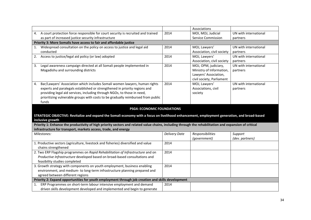|                                                                                                                                                        |                      | Associations               |                       |  |
|--------------------------------------------------------------------------------------------------------------------------------------------------------|----------------------|----------------------------|-----------------------|--|
| A court protection force responsible for court security is recruited and trained<br>4.                                                                 | 2014                 | MOI, MOJ, Judicial         | UN with international |  |
| as part of increased justice security infrastructure                                                                                                   |                      | <b>Service Commission</b>  | partners              |  |
| Priority 3: More Somalis have access to fair and affordable justice                                                                                    |                      |                            |                       |  |
| Widespread consultation on the policy on access to justice and legal aid<br>1.                                                                         | 2014                 | MOJ, Lawyers'              | UN with international |  |
| conducted                                                                                                                                              |                      | Association, civil society | partners              |  |
| Access to justice/legal aid policy (or law) adopted<br>2.                                                                                              | 2014                 | MOJ, Lawyers'              | UN with international |  |
|                                                                                                                                                        |                      | Association, civil society | partners              |  |
| Legal awareness campaign directed at all Somali people implemented in<br>3.                                                                            | 2014                 | MOJ, OPM, judiciary,       | UN with international |  |
| Mogadishu and surrounding districts                                                                                                                    |                      | Ministry of Information,   | partners              |  |
|                                                                                                                                                        |                      | Lawyers' Association,      |                       |  |
|                                                                                                                                                        |                      | civil society, Parliament  |                       |  |
| Bar/Lawyers' Association which includes Somali women lawyers, human rights<br>4.                                                                       | 2014                 | MOJ, Lawyers'              | UN with international |  |
| experts and paralegals established or strengthened in priority regions and                                                                             |                      | Associations, civil        | partners              |  |
| providing legal aid services, including through NGOs, to those in need,                                                                                |                      | society                    |                       |  |
| prioritizing vulnerable groups with costs to be gradually reimbursed from public                                                                       |                      |                            |                       |  |
| funds                                                                                                                                                  |                      |                            |                       |  |
| <b>PSG4: ECONOMIC FOUNDATIONS</b>                                                                                                                      |                      |                            |                       |  |
|                                                                                                                                                        |                      |                            |                       |  |
| STRATEGIC OBJECTIVE: Revitalize and expand the Somali economy with a focus on livelihood enhancement, employment generation, and broad-based           |                      |                            |                       |  |
| inclusive growth                                                                                                                                       |                      |                            |                       |  |
| Priority 1: Enhance the productivity of high priority sectors and related value chains, including through the rehabilitation and expansion of critical |                      |                            |                       |  |
| infrastructure for transport, markets access, trade, and energy                                                                                        |                      |                            |                       |  |
| Milestones:                                                                                                                                            | <b>Delivery Date</b> | Responsibilities           | Support               |  |
|                                                                                                                                                        |                      | (government)               | (dev. partners)       |  |
| 1. Productive sectors (agriculture, livestock and fisheries) diversified and value                                                                     | 2014                 |                            |                       |  |
| chains strengthened                                                                                                                                    |                      |                            |                       |  |
| 2. Two ERP Flagship programmes on Rapid Rehabilitation of Infrastructure and on                                                                        | 2014                 |                            |                       |  |
| Productive Infrastructure developed based on broad-based consultations and                                                                             |                      |                            |                       |  |
| feasibility studies completed                                                                                                                          |                      |                            |                       |  |
| 3. Growth strategy with components on youth employment, business enabling                                                                              | 2014                 |                            |                       |  |
| environment, and medium- to long-term infrastructure planning prepared and                                                                             |                      |                            |                       |  |
| agreed between different regions                                                                                                                       |                      |                            |                       |  |
| Priority 2: Expand opportunities for youth employment through job creation and skills development                                                      |                      |                            |                       |  |
| ERP Programmes on short-term labour intensive employment and demand<br>1.                                                                              |                      |                            |                       |  |
| driven skills development developed and implemented and begin to generate                                                                              | 2014                 |                            |                       |  |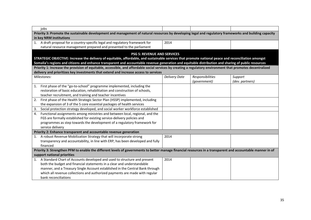| jobs                                                                                                                                                                                       |                      |                  |                 |  |  |
|--------------------------------------------------------------------------------------------------------------------------------------------------------------------------------------------|----------------------|------------------|-----------------|--|--|
| Priority 3: Promote the sustainable development and management of natural resources by developing legal and regulatory frameworks and building capacity                                    |                      |                  |                 |  |  |
| in key NRM institutions                                                                                                                                                                    |                      |                  |                 |  |  |
| 1. A draft proposal for a country-specific legal and regulatory framework for                                                                                                              | 2014                 |                  |                 |  |  |
| natural resource management prepared and presented to the parliament                                                                                                                       |                      |                  |                 |  |  |
| <b>PSG 5: REVENUE AND SERVICES</b>                                                                                                                                                         |                      |                  |                 |  |  |
| STRATEGIC OBJECTIVE: Increase the delivery of equitable, affordable, and sustainable services that promote national peace and reconciliation amongst                                       |                      |                  |                 |  |  |
| Somalia's regions and citizens and enhance transparent and accountable revenue generation and equitable distribution and sharing of public resources                                       |                      |                  |                 |  |  |
| Priority 1: Increase the provision of equitable, accessible, and affordable social services by creating a regulatory environment that promotes decentralized                               |                      |                  |                 |  |  |
| delivery and prioritizes key investments that extend and increase access to services                                                                                                       |                      |                  |                 |  |  |
| Milestones:                                                                                                                                                                                | <b>Delivery Date</b> | Responsibilities | Support         |  |  |
|                                                                                                                                                                                            |                      | (government)     | (dev. partners) |  |  |
| First phase of the "go-to-school" programme implemented, including the<br>1.                                                                                                               |                      |                  |                 |  |  |
| restoration of basic education, rehabilitation and construction of schools,                                                                                                                |                      |                  |                 |  |  |
| teacher recruitment, and training and teacher incentives                                                                                                                                   |                      |                  |                 |  |  |
| First phase of the Health Strategic Sector Plan (HSSP) implemented, including<br>2.                                                                                                        |                      |                  |                 |  |  |
| the expansion of 3 of the 5 core essential packages of health services                                                                                                                     |                      |                  |                 |  |  |
| Social protection strategy developed, and social worker workforce established<br>3.                                                                                                        |                      |                  |                 |  |  |
| Functional assignments among ministries and between local, regional, and the<br>4.                                                                                                         |                      |                  |                 |  |  |
| FGS are formally established for existing service-delivery policies and                                                                                                                    |                      |                  |                 |  |  |
| programmes as step towards the development of a regulatory framework for                                                                                                                   |                      |                  |                 |  |  |
| service delivery                                                                                                                                                                           |                      |                  |                 |  |  |
| Priority 2: Enhance transparent and accountable revenue generation                                                                                                                         |                      |                  |                 |  |  |
| A robust Revenue Mobilization Strategy that will incorporate strong                                                                                                                        | 2014                 |                  |                 |  |  |
| transparency and accountability, in line with ERP, has been developed and fully<br>financed                                                                                                |                      |                  |                 |  |  |
|                                                                                                                                                                                            |                      |                  |                 |  |  |
| Priority 3: Strengthen PFM to enable the different levels of governments to better manage financial resources in a transparent and accountable manner in of<br>support national priorities |                      |                  |                 |  |  |
| 1. A Standard Chart of Accounts developed and used to structure and present                                                                                                                | 2014                 |                  |                 |  |  |
| both the budget and financial statements in a clear and understandable                                                                                                                     |                      |                  |                 |  |  |
| manner, and a Treasury Single Account established in the Central Bank through                                                                                                              |                      |                  |                 |  |  |
| which all revenue collections and authorized payments are made with regular                                                                                                                |                      |                  |                 |  |  |
| bank reconciliations                                                                                                                                                                       |                      |                  |                 |  |  |
|                                                                                                                                                                                            |                      |                  |                 |  |  |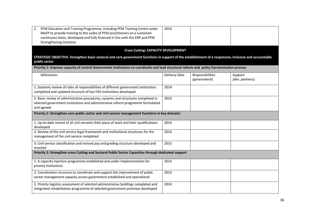| PFM Education and Training Programme, including PFM Training Centre under<br>2.<br>MoFP to provide training to the cadre of PFM practitioners on a sustained<br>continuous basis, developed and fully financed in line with the ERP and PFM<br>Strengthening Initiative | 2014                 |                                  |                            |
|-------------------------------------------------------------------------------------------------------------------------------------------------------------------------------------------------------------------------------------------------------------------------|----------------------|----------------------------------|----------------------------|
| <b>Cross Cutting: CAPACITY DEVELOPMENT</b>                                                                                                                                                                                                                              |                      |                                  |                            |
| STRATEGIC OBJECTIVE: Strengthen basic sectoral and core government functions in support of the establishment of a responsive, inclusive and accountable<br>public sector                                                                                                |                      |                                  |                            |
| Priority 1: Improve capacity of central Government institutions to coordinate and lead structural reform and policy harmonisation process                                                                                                                               |                      |                                  |                            |
| Milestones:                                                                                                                                                                                                                                                             | <b>Delivery Date</b> | Responsibilities<br>(government) | Support<br>(dev. partners) |
| 1. Systemic review of roles of responsibilities of different government institutions<br>completed and updated structure of key FGS institutions developed                                                                                                               | 2014                 |                                  |                            |
| 2. Basic review of administrative procedures, systems and structures completed in<br>selected government institutions and administrative reform programme formulated<br>and agreed                                                                                      | 2014                 |                                  |                            |
| Priority 2: Strengthen core public sector and civil service management functions in key domains                                                                                                                                                                         |                      |                                  |                            |
| 1. Up-to-date record of all civil servants their place of work and their qualifications<br>developed                                                                                                                                                                    | 2014                 |                                  |                            |
| 2. Review of the civil service legal framework and institutional structures for the<br>management of the civil service completed                                                                                                                                        | 2014                 |                                  |                            |
| 3. Civil service classification and revised pay and grading structure developed and<br>enacted                                                                                                                                                                          | 2015                 |                                  |                            |
| Priority 3: Strengthen cross Cutting and Sectoral Public Sector Capacities through dedicated support                                                                                                                                                                    |                      |                                  |                            |
| 1. A capacity injection programme established and under implementation for<br>priority institutions                                                                                                                                                                     | 2014                 |                                  |                            |
| 2. Coordination structure to coordinate and support the improvement of public<br>sector management capacity across government established and operational                                                                                                               | 2014                 |                                  |                            |
| 3. Priority logistics assessment of selected administrative buildings completed and<br>integrated rehabilitation programme of selected government premises developed                                                                                                    | 2014                 |                                  |                            |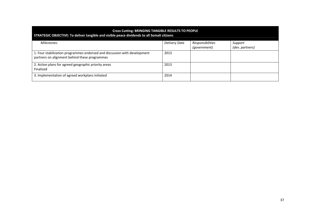#### **Cross Cutting: BRINGING TANGIBLE RESULTS TO PEOPLE STRATEGIC OBJECTIVE: To deliver tangible and visible peace dividends to all Somali citizens** *Milestones: Delivery Date Responsibilities (government) Support (dev. partners)* 1. Four stabilization programmes endorsed and discussion with development partners on alignment behind these programmes 2013 2. Action plans for agreed geographic priority areas Finalized 2013 3. Implementation of agreed workplans initiated 2014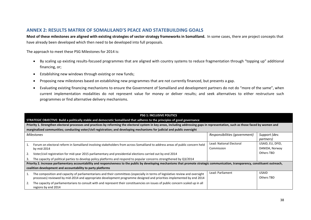# **ANNEX 2: RESULTS MATRIX OF SOMALILAND'S PEACE AND STATEBUILDING GOALS**

**Most of these milestones are aligned with existing strategies of sector strategy frameworks in Somaliland.** In some cases, there are project concepts that have already been developed which then need to be developed into full proposals.

The approach to meet these PSG Milestones for 2014 is:

- By scaling up existing results-focused programmes that are aligned with country systems to reduce fragmentation through "topping up" additional financing, or;
- •Establishing new windows through existing or new funds;
- $\bullet$ Proposing new milestones based on establishing new programmes that are not currently financed, but presents a gap.
- $\bullet$  Evaluating existing financing mechanisms to ensure the Government of Somaliland and development partners do not do "more of the same", when current implementation modalities do not represent value for money or deliver results; and seek alternatives to either restructure such programmes or find alternative delivery mechanisms.

|    | <b>PSG 1: INCLUSIVE POLITICS</b>                                                                                                                                                       |                               |                   |  |
|----|----------------------------------------------------------------------------------------------------------------------------------------------------------------------------------------|-------------------------------|-------------------|--|
|    | STRATEGIC OBJECTIVE: Build a politically stable and democratic Somaliland that adheres to the principles of good governance                                                            |                               |                   |  |
|    | Priority 1. Strengthen electoral processes and practices by reforming the electoral system in key areas, including addressing gaps in representation, such as those faced by women and |                               |                   |  |
|    | marginalized communities; conducting voter/civil registration; and developing mechanisms for judicial and public oversight                                                             |                               |                   |  |
|    | <b>Milestones</b>                                                                                                                                                                      | Responsibilities (government) | Support (dev.     |  |
|    |                                                                                                                                                                                        |                               | <i>partners</i> ) |  |
|    | Forum on electoral reform in Somaliland involving stakeholders from across Somaliland to address areas of public concern held                                                          | Lead: National Electoral      | USAID, EU, DFID,  |  |
|    | by $mid-2014$                                                                                                                                                                          | Commission                    | DANIDA, Norway    |  |
| 2. | Voter/civil registration for mid-year 2015 parliamentary and presidential elections carried out by end 2014                                                                            |                               | <b>Others TBD</b> |  |
| 3. | The capacity of political parties to develop policy platforms and respond to popular concerns strengthened by Q3/2014                                                                  |                               |                   |  |
|    | Priority 2. Increase parliamentary accountability and responsiveness to the public by developing mechanisms that promote strategic communication, transparency, constituent outreach,  |                               |                   |  |
|    | coalition development and accountability to party platforms                                                                                                                            |                               |                   |  |
|    | The composition and capacity of parliamentarians and their committees (especially in terms of legislative review and oversight                                                         | Lead: Parliament              | <b>USAID</b>      |  |
|    | processes) reviewed by mid-2014 and appropriate development programme designed and priorities implemented by end 2014                                                                  |                               | Others TBD        |  |
| 2. | The capacity of parliamentarians to consult with and represent their constituencies on issues of public concern scaled up in all<br>regions by end 2014                                |                               |                   |  |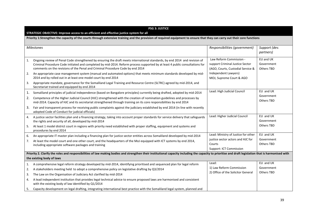|                           | <b>PSG 3: JUSTICE</b>                                                                                                                                                                                                                                                                                                                        |                                                                                                 |                                       |  |
|---------------------------|----------------------------------------------------------------------------------------------------------------------------------------------------------------------------------------------------------------------------------------------------------------------------------------------------------------------------------------------|-------------------------------------------------------------------------------------------------|---------------------------------------|--|
|                           | STRATEGIC OBJECTIVE: Improve access to an efficient and effective justice system for all                                                                                                                                                                                                                                                     |                                                                                                 |                                       |  |
|                           | Priority 1:Strengthen the capacity of the courts through extensive training and the provision of required equipment to ensure that they can carry out their core functions                                                                                                                                                                   |                                                                                                 |                                       |  |
|                           | <b>Milestones</b>                                                                                                                                                                                                                                                                                                                            | Responsibilities (government)                                                                   | Support (dev.<br><i>partners</i> )    |  |
| 1.                        | Ongoing review of Penal Code strengthened by ensuring the draft meets international standards, by end 2014 and revision of<br>Criminal Procedure Code initiated and completed by mid-2014. Reform process supported by at least 4 public consultations for<br>comments on the revisions of the Penal and Criminal Procedure Code by end 2014 | Law Reform Commission -<br>support Criminal Justice Sector<br>(AGO, Courts, Custodial Service & | EU and UK<br>Government<br>Others TBD |  |
| 2.                        | An appropriate case management system (manual and automated options) that meets minimum standards developed by mid-<br>2014 and by rolled out in at least one model court by end 2014                                                                                                                                                        | Independent Lawyers)<br>MOJ, Supreme Court & AGO                                                |                                       |  |
| 3.                        | Appropriate mandate, governance for the Somaliland Legal Training and Resource Centre (SLTRC) agreed by mid-2014, and<br>Secretariat trained and equipped by end 2014                                                                                                                                                                        |                                                                                                 |                                       |  |
| 1.                        | Somaliland principles of judicial independence (based on Bangalore principles) currently being drafted, adopted by mid-2014                                                                                                                                                                                                                  | Lead: High Judicial Council                                                                     | EU and UK                             |  |
| 2.                        | Competence of the Higher Judicial Council (HJC) strengthened with the creation of nomination guidelines and processes by<br>mid-2014. Capacity of HJC and its secretariat strengthened through training on its core responsibilities by end 2014                                                                                             |                                                                                                 | Government<br><b>Others TBD</b>       |  |
| 3.                        | Fair and transparent process for receiving public complaints against the judiciary established by end 2014 (in line with recently<br>adopted Code of Conduct for judicial officials)                                                                                                                                                         |                                                                                                 |                                       |  |
| 4.                        | A justice sector facilities plan and a financing strategy, taking into account proper standards for service delivery that safeguards<br>the rights and security of all, developed by mid-2014                                                                                                                                                | Lead: Higher Judicial Council                                                                   | EU and UK<br>Government               |  |
| 5.                        | At least 1 model district court in regions with priority need established with proper staffing, equipment and systems and<br>procedures by end 2014                                                                                                                                                                                          |                                                                                                 | <b>Others TBD</b>                     |  |
| 6.                        | An appropriate IT master plan including a financing plan for justice sector entities across Somaliland developed by mid-2014                                                                                                                                                                                                                 | Lead: Ministry of Justice for other                                                             | EU and UK                             |  |
| 7.                        | At least the model court and one other court, and the headquarters of the MoJ equipped with ICT systems by end 2014,                                                                                                                                                                                                                         | justice sector actors and HJC for<br>Courts                                                     | Government<br><b>Others TBD</b>       |  |
|                           | including appropriate software packages and training                                                                                                                                                                                                                                                                                         | Support: ICT Commission                                                                         |                                       |  |
|                           | Priority 2. Clarify the roles and responsibilities of law making bodies and strengthen their institutional capacity including the capacity to prioritise and draft legislation that is harmonised with                                                                                                                                       |                                                                                                 |                                       |  |
| the existing body of laws |                                                                                                                                                                                                                                                                                                                                              |                                                                                                 |                                       |  |
| 1.                        | A comprehensive legal reform strategy developed by mid-2014, identifying prioritised and sequenced plan for legal reform                                                                                                                                                                                                                     | Lead:                                                                                           | EU and UK                             |  |
| 2.                        | A stakeholders meeting held to adopt a comprehensive policy on legislative drafting by Q3/2014                                                                                                                                                                                                                                               | 1) Law Reform Commission                                                                        | Government                            |  |
| 3.                        | The Law on the Organisation of Judiciary Act clarified by mid-2014                                                                                                                                                                                                                                                                           | 2) Office of the Solicitor General                                                              | <b>Others TBD</b>                     |  |
| 4.                        | A lead independent institution that provides legal technical advice to ensure proposed laws are harmonised and consistent<br>with the existing body of law identified by Q1/2014                                                                                                                                                             |                                                                                                 |                                       |  |
| 5.                        | Capacity development on legal drafting, integrating international best practice with the Somaliland legal system, planned and                                                                                                                                                                                                                |                                                                                                 |                                       |  |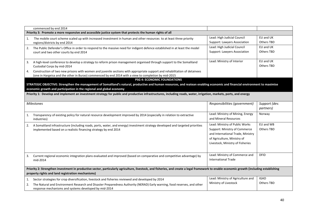|    | commenced by end 2014                                                                                                                                                                                                             |                                   |                   |  |  |  |
|----|-----------------------------------------------------------------------------------------------------------------------------------------------------------------------------------------------------------------------------------|-----------------------------------|-------------------|--|--|--|
|    | Priority 3: Promote a more responsive and accessible justice system that protects the human rights of all                                                                                                                         |                                   |                   |  |  |  |
| 1. | The mobile court scheme scaled up with increased investment in human and other resources to at least three priority                                                                                                               | Lead: High Judicial Council       | EU and UK         |  |  |  |
|    | regions/districts by end 2014                                                                                                                                                                                                     | Support: Lawyers Association      | <b>Others TBD</b> |  |  |  |
| 2. | The Public Defender's Office in order to respond to the massive need for indigent defence established in at least the model                                                                                                       | Lead: High Judicial Council       | EU and UK         |  |  |  |
|    | court and two other courts by end 2014                                                                                                                                                                                            | Support: Lawyers Association      | <b>Others TBD</b> |  |  |  |
| 3. | A high-level conference to develop a strategy to reform prison management organised through support to the Somaliland                                                                                                             | Lead: Ministry of Interior        | EU and UK         |  |  |  |
|    | Custodial Corps by mid-2014                                                                                                                                                                                                       |                                   | <b>Others TBD</b> |  |  |  |
| 4. | Construction of two new prisons with women and juvenile sections with appropriate support and rehabilitation of detainees<br>(one in Hargeisa and the other in Burao) commenced by end 2014 with a view to completion by mid-2015 |                                   |                   |  |  |  |
|    | <b>PSG 4: ECONOMIC FOUNDATIONS</b>                                                                                                                                                                                                |                                   |                   |  |  |  |
|    | STRATEGIC OBJECTIVE: Strengthen the management of Somaliland's natural, productive and human resources, and reatean enabling economic and financial environment to maximise                                                       |                                   |                   |  |  |  |
|    | economic growth and participation in the regional and global economy                                                                                                                                                              |                                   |                   |  |  |  |
|    | Priority 1: Develop and implement an investment strategy for public and productive infrastructures, including roads, water, irrigation, markets, ports, and energy                                                                |                                   |                   |  |  |  |
|    |                                                                                                                                                                                                                                   |                                   |                   |  |  |  |
|    | <b>Milestones</b>                                                                                                                                                                                                                 | Responsibilities (government)     | Support (dev.     |  |  |  |
|    |                                                                                                                                                                                                                                   |                                   | partners)         |  |  |  |
| 1. | Transparency of existing policy for natural resource development improved by 2014 (especially in relation to extractive                                                                                                           | Lead: Ministry of Mining, Energy  | Norway            |  |  |  |
|    | industries)                                                                                                                                                                                                                       | and Mineral Resources             |                   |  |  |  |
|    |                                                                                                                                                                                                                                   | Lead: Ministry of Public Works    | EU and WB         |  |  |  |
| 2. | A Somaliland infrastructure (including roads, ports, water, and energy) investment strategy developed and targeted priorities<br>implemented based on a realistic financing strategy by end 2014                                  | Support: Ministry of Commerce     | <b>Others TBD</b> |  |  |  |
|    |                                                                                                                                                                                                                                   | and International Trade, Ministry |                   |  |  |  |
|    |                                                                                                                                                                                                                                   | of Agriculture, Ministry of       |                   |  |  |  |
|    |                                                                                                                                                                                                                                   | Livestock, Ministry of Fisheries  |                   |  |  |  |
|    |                                                                                                                                                                                                                                   |                                   |                   |  |  |  |
|    |                                                                                                                                                                                                                                   |                                   |                   |  |  |  |
| 3. | Current regional economic integration plans evaluated and improved (based on comparative and competitive advantage) by                                                                                                            | Lead: Ministry of Commerce and    | <b>DFID</b>       |  |  |  |
|    | mid-2014                                                                                                                                                                                                                          | <b>International Trade</b>        |                   |  |  |  |
|    | Priority 2: Strengthen investment in productive sector, particularly agriculture, livestock, and fisheries, and create a legal framework to enable economic growth (including establishing                                        |                                   |                   |  |  |  |
|    | property rights and land registration mechanisms)                                                                                                                                                                                 |                                   |                   |  |  |  |
| 1. | Sector strategies for crop diversification, livestock and fisheries reviewed and developed by 2014                                                                                                                                | Lead: Ministry of Agriculture and | <b>IGAD</b>       |  |  |  |
| 2. | The Natural and Environment Research and Disaster Preparedness Authority (NERAD) Early warning, food reserves, and other                                                                                                          | Ministry of Livestock             | <b>Others TBD</b> |  |  |  |
|    | response mechanisms and systems developed by mid-2014                                                                                                                                                                             |                                   |                   |  |  |  |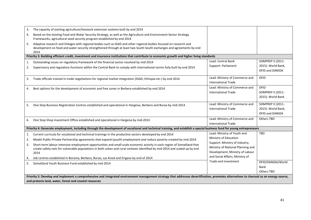| 3.<br>The capacity of existing agriculture/livestock extension systems built by end 2014                                                                                                                                                                 |                                                                    |                                              |
|----------------------------------------------------------------------------------------------------------------------------------------------------------------------------------------------------------------------------------------------------------|--------------------------------------------------------------------|----------------------------------------------|
| Based on the existing Food and Water Security Strategy, as well as the Agriculture and Environment Sector Strategy<br>4.<br>Frameworks, agricultural seed security program established by end 2014                                                       |                                                                    |                                              |
| Adaptive research and linkages with regional bodies such as IGAD and other regional bodies focused on research and<br>5.<br>development on food and water security strengthened through at least two South-South exchanges and agreements by end<br>2014 |                                                                    |                                              |
| Priority 3: Building efficient credit, investment and insurance institutions that contribute to economic growth and higher living standards                                                                                                              |                                                                    |                                              |
| Outstanding issues on regulatory framework of the financial sector resolved by mid-2014<br>1.                                                                                                                                                            | Lead: Central Bank                                                 | <b>SOMPREP II (2011-</b>                     |
| Supervisory and regulatory functions within the Central Bank to comply with international norms fully built by end 2014<br>2.                                                                                                                            | Support: Parliament                                                | 2015): World Bank,<br><b>DFID and DANIDA</b> |
| Trade officials trained in trade negotiations for regional market integration (IGAD, Ethiopia etc.) by end 2014<br>3.                                                                                                                                    | Lead: Ministry of Commerce and<br><b>International Trade</b>       | <b>DFID</b>                                  |
| Best options for the development of economic and free zones in Berbera established by end 2014<br>4.                                                                                                                                                     | Lead: Ministry of Commerce and<br><b>International Trade</b>       | <b>DFID</b><br>SOMPREP II (2011-             |
|                                                                                                                                                                                                                                                          |                                                                    | 2015): World Bank                            |
| One Stop Business Registration Centres established and operational in Hargeisa, Berbera and Burao by mid-2014<br>5.                                                                                                                                      | Lead: Ministry of Commerce and                                     | <b>SOMPREP II (2011-</b>                     |
|                                                                                                                                                                                                                                                          | <b>International Trade</b>                                         | 2015): World Bank,                           |
|                                                                                                                                                                                                                                                          |                                                                    | <b>DFID and DANIDA</b>                       |
| One Stop Shop Investment Office established and operational in Hargeisa by mid-2014<br>6.                                                                                                                                                                | Lead: Ministry of Commerce and                                     | Others TBD                                   |
|                                                                                                                                                                                                                                                          | <b>International Trade</b>                                         |                                              |
| Priority 4: Generate employment, including through the development of vocational and technical training, and establish a special business fund for young entrepreneurs                                                                                   |                                                                    |                                              |
| Current curricula for vocational and technical trainings in the productive sectors developed by end 2014<br>1.                                                                                                                                           | Lead: Ministry of Youth and                                        | TBD                                          |
| Model Public-Private Partnership agreements that expand (youth) employment and reduce poverty created by mid-2014<br>2.                                                                                                                                  | Ministry of Education                                              |                                              |
| Short-term labour intensive employment opportunities and small-scale economic activity in each region of Somaliland that<br>3.                                                                                                                           | Support: Ministry of Industry,                                     |                                              |
| create safety nets for vulnerable populations in both urban and rural contexts identified by mid-2014 and scaled up by end                                                                                                                               | Ministry of National Planning and                                  |                                              |
| 2014                                                                                                                                                                                                                                                     | Development, Ministry of Labour<br>and Social Affairs, Ministry of |                                              |
| Job centres established in Borama, Berbera, Burao, Las Anod and Erigavo by end of 2014<br>4.                                                                                                                                                             | Trade and Investment                                               |                                              |
| Somaliland Youth Business Fund established by mid-2014<br>5.                                                                                                                                                                                             |                                                                    | DFID/DANIDA/World<br>Bank                    |
|                                                                                                                                                                                                                                                          |                                                                    | <b>Others TBD</b>                            |
| Priority 5: Develop and implement a comprehensive and integrated environment management strategy that addresses desertification, promotes alternatives to charcoal as an energy source,                                                                  |                                                                    |                                              |
| and protects land, water, forest and coastal resources                                                                                                                                                                                                   |                                                                    |                                              |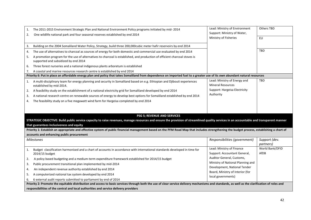| 1.                | The 2011-2015 Environment Strategic Plan and National Environment Policy programs initiated by mid-2014                                                                                        | Lead: Ministry of Environment                             | Others TBD                         |
|-------------------|------------------------------------------------------------------------------------------------------------------------------------------------------------------------------------------------|-----------------------------------------------------------|------------------------------------|
| 2.                | One wildlife national park and four seasonal reserves established by end 2014                                                                                                                  | Support: Ministry of Water,                               |                                    |
|                   |                                                                                                                                                                                                | Ministry of Fisheries                                     | EU                                 |
| 3.                | Building on the 2004 Somaliland Water Policy, Strategy, build three 200,000cubic meter hafir reservoirs by end 2014                                                                            |                                                           |                                    |
| 4.                | The use of alternatives to charcoal as sources of energy for both domestic and commercial use evaluated by end 2014                                                                            |                                                           | <b>TBD</b>                         |
| 5.                | A promotion program for the use of alternatives to charcoal is established, and production of efficient charcoal stoves is<br>supported and subsidized by end 2014                             |                                                           |                                    |
| 6.                | Three forest nurseries and a national indigenous plants arboretum is established                                                                                                               |                                                           |                                    |
| 7.                | A coastal and marine resources research centre is established by end 2014                                                                                                                      |                                                           |                                    |
|                   | Priority 6: Put in place an affordable energy plan and policy that takes Somaliland from dependence on imported fuel to a greater use of its own abundant natural resources                    |                                                           |                                    |
| 1.                | A multi-disciplinary team for energy planning and security in Somaliland based on e.g. Ethiopian and Djibouti experiences<br>established by mid-2014.                                          | Lead: Ministry of Energy and<br><b>Mineral Resources</b>  | TBD                                |
| 2.                | A feasibility study on the establishment of a national electricity grid for Somaliland developed by end 2014                                                                                   | Support: Hargeisa Electricity                             |                                    |
| 3.                | A national research centre on renewable sources of energy to develop best options for Somaliland established by end 2014                                                                       | Authority                                                 |                                    |
| 4.                | The feasibility study on a five megawatt wind farm for Hargeisa completed by end 2014                                                                                                          |                                                           |                                    |
|                   |                                                                                                                                                                                                |                                                           |                                    |
|                   | <b>PSG 5; REVENUE AND SERVICES</b>                                                                                                                                                             |                                                           |                                    |
|                   | STRATEGIC OBJECTIVE: Build public service capacity to raise revenues, manage resources and ensure the provision of streamlined quality services in an accountable and transparent manner       |                                                           |                                    |
|                   | that guarantees inclusiveness and equity                                                                                                                                                       |                                                           |                                    |
|                   | Priority 1: Establish an appropriate and effective system of public financial management based on the PFM Road Map that includes strengthening the budget process, establishing a chart of     |                                                           |                                    |
|                   | accounts and enhancing public procurement                                                                                                                                                      |                                                           |                                    |
| <b>Milestones</b> |                                                                                                                                                                                                | Responsibilities (government)                             | Support (dev.<br><i>partners</i> ) |
| 1.                | Budget classification harmonised and a chart of accounts in accordance with international standards developed in time for<br>2014/15 budget                                                    | Lead: Ministry of Finance<br>Support: Accountant General, | World Bank/DFID<br>AfDB            |
| 2.                | A policy based budgeting and a medium-term expenditure framework established for 2014/15 budget                                                                                                | Auditor General, Customs,                                 |                                    |
| 3.                | Public procurement transitional plan implemented by mid-2014                                                                                                                                   | Ministry of National Planning and                         |                                    |
| 4.                | An independent revenue authority established by end 2014                                                                                                                                       | Development, National Tender                              |                                    |
| 5.                | A computerized national tax system developed by end 2014                                                                                                                                       | Board, Ministry of Interior (for                          |                                    |
| 6.                | 6 external audit reports submitted to parliament by end of 2014                                                                                                                                | local governments)                                        |                                    |
|                   | Priority 2: Promote the equitable distribution and access to basic services through both the use of clear service delivery mechanisms and standards, as well as the clarification of roles and |                                                           |                                    |
|                   | responsibilities of the central and local authorities and service delivery providers                                                                                                           |                                                           |                                    |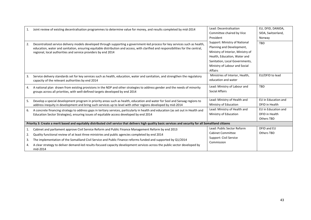| 1.                                                                                                                                                          | Joint review of existing decentralisation programmes to determine value for money, and results completed by mid-2014                                                                                                                                              | Lead: Decentralisation            | EU, DFID, DANIDA,   |
|-------------------------------------------------------------------------------------------------------------------------------------------------------------|-------------------------------------------------------------------------------------------------------------------------------------------------------------------------------------------------------------------------------------------------------------------|-----------------------------------|---------------------|
|                                                                                                                                                             |                                                                                                                                                                                                                                                                   | Committee chaired by Vice         | SIDA, Switzerland,  |
|                                                                                                                                                             |                                                                                                                                                                                                                                                                   | President                         | Norway              |
| 2.                                                                                                                                                          | Decentralized service delivery models developed through supporting a government-led process for key services such as health,<br>education, water and sanitation, ensuring equitable distribution and access, with clarified and responsibilities for the central, | Support: Ministry of National     | TBD                 |
|                                                                                                                                                             |                                                                                                                                                                                                                                                                   | Planning and Development,         |                     |
|                                                                                                                                                             | regional, local authorities and service providers by end 2014                                                                                                                                                                                                     | Ministry of Interior, Ministry of |                     |
|                                                                                                                                                             |                                                                                                                                                                                                                                                                   | Health, Education, Water and      |                     |
|                                                                                                                                                             |                                                                                                                                                                                                                                                                   | Sanitation, Local Governments,    |                     |
|                                                                                                                                                             |                                                                                                                                                                                                                                                                   | Ministry of Labour and Social     |                     |
|                                                                                                                                                             |                                                                                                                                                                                                                                                                   | <b>Affairs</b>                    |                     |
| 3.                                                                                                                                                          | Service delivery standards set for key services such as health, education, water and sanitation, and strengthen the regulatory                                                                                                                                    | Ministries of Interior, Health,   | EU/DFID to lead     |
|                                                                                                                                                             | capacity of the relevant authorities by end 2014                                                                                                                                                                                                                  | education and water               |                     |
| 4.                                                                                                                                                          | A national plan drawn from existing provisions in the NDP and other strategies to address gender and the needs of minority                                                                                                                                        | Lead: Ministry of Labour and      | <b>TBD</b>          |
|                                                                                                                                                             | groups across all priorities, with well-defined targets developed by end 2014                                                                                                                                                                                     | <b>Social Affairs</b>             |                     |
|                                                                                                                                                             |                                                                                                                                                                                                                                                                   |                                   |                     |
| 5.                                                                                                                                                          | Develop a special development program in priority areas such as health, education and water for Sool and Sanaag regions to                                                                                                                                        | Lead: Ministry of Health and      | EU in Education and |
|                                                                                                                                                             | address inequity in development and bring such services up to level with other regions developed by mid-2014                                                                                                                                                      | Ministry of Education             | DFID in Health      |
| 6.                                                                                                                                                          | A concrete financing strategy to address gaps in tertiary services, particularly in health and education (as set out in Health and                                                                                                                                | Lead: Ministry of Health and      | EU in Education and |
|                                                                                                                                                             | Education Sector Strategies), ensuring issues of equitable access developed by end 2014                                                                                                                                                                           | Ministry of Education             | DFID in Health      |
|                                                                                                                                                             |                                                                                                                                                                                                                                                                   |                                   | Others TBD          |
| Priority 3: Create a merit based and equitably distributed civil service that delivers high quality basic services and security for all Somaliland citizens |                                                                                                                                                                                                                                                                   |                                   |                     |
| 1.                                                                                                                                                          | Cabinet and parliament approve Civil Service Reform and Public Finance Management Reform by end 2013                                                                                                                                                              | Lead: Public Sector Reform        | DFID and EU         |
| 2.                                                                                                                                                          | Quality functional review of at least three ministries and public agencies completed by end 2014                                                                                                                                                                  | <b>Cabinet Committee</b>          | Others TBD          |
| 3.                                                                                                                                                          | The implementation of the Somaliland Civil Service and Public Finance reforms funded and supported by Q1/2014                                                                                                                                                     | Support: Civil Service            |                     |
| 4.                                                                                                                                                          | A clear strategy to deliver demand-led results-focused capacity development services across the public sector developed by                                                                                                                                        | Commission                        |                     |
|                                                                                                                                                             | mid-2014                                                                                                                                                                                                                                                          |                                   |                     |